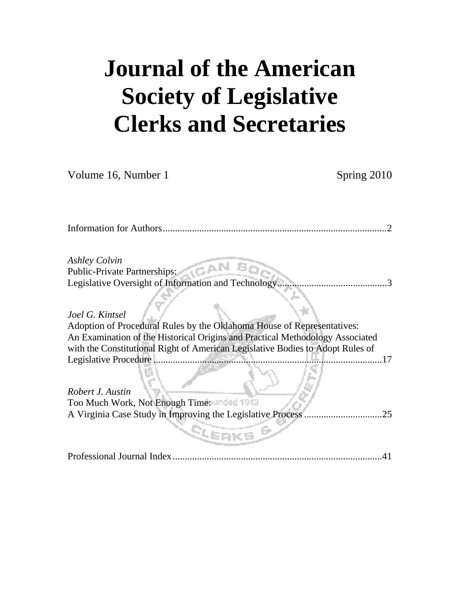# **Journal of the American Society of Legislative Clerks and Secretaries**

| Volume 16, Number 1                                                                                                                                                                                                                       | Spring 2010 |
|-------------------------------------------------------------------------------------------------------------------------------------------------------------------------------------------------------------------------------------------|-------------|
|                                                                                                                                                                                                                                           |             |
| <b>Ashley Colvin</b><br>Public-Private Partnerships:<br>Legislative Oversight of Information and Technology                                                                                                                               |             |
| Joel G. Kintsel                                                                                                                                                                                                                           |             |
| Adoption of Procedural Rules by the Oklahoma House of Representatives:<br>An Examination of the Historical Origins and Practical Methodology Associated<br>with the Constitutional Right of American Legislative Bodies to Adopt Rules of |             |
| Legislative Procedure                                                                                                                                                                                                                     | 17          |
| Robert J. Austin<br>Too Much Work, Not Enough Time: unded 1948                                                                                                                                                                            |             |
| A Virginia Case Study in Improving the Legislative Process                                                                                                                                                                                | 25          |
| Professional Journal Index.                                                                                                                                                                                                               | 41          |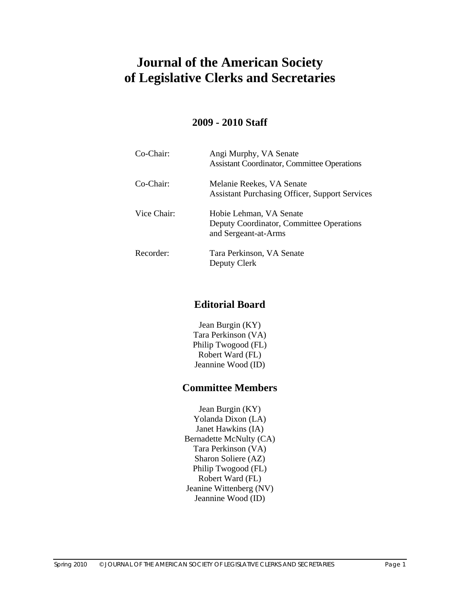## **Journal of the American Society of Legislative Clerks and Secretaries**

## **2009 - 2010 Staff**

| $Co-Chair$  | Angi Murphy, VA Senate<br><b>Assistant Coordinator, Committee Operations</b>                |
|-------------|---------------------------------------------------------------------------------------------|
| $Co-Chair$  | Melanie Reekes, VA Senate<br><b>Assistant Purchasing Officer, Support Services</b>          |
| Vice Chair: | Hobie Lehman, VA Senate<br>Deputy Coordinator, Committee Operations<br>and Sergeant-at-Arms |
| Recorder:   | Tara Perkinson, VA Senate<br>Deputy Clerk                                                   |

## **Editorial Board**

Jean Burgin (KY) Tara Perkinson (VA) Philip Twogood (FL) Robert Ward (FL) Jeannine Wood (ID)

## **Committee Members**

Jean Burgin (KY) Yolanda Dixon (LA) Janet Hawkins (IA) Bernadette McNulty (CA) Tara Perkinson (VA) Sharon Soliere (AZ) Philip Twogood (FL) Robert Ward (FL) Jeanine Wittenberg (NV) Jeannine Wood (ID)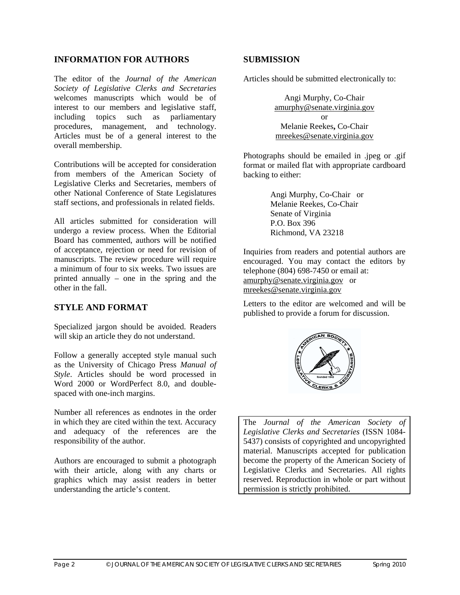#### **INFORMATION FOR AUTHORS**

The editor of the *Journal of the American Society of Legislative Clerks and Secretaries* welcomes manuscripts which would be of interest to our members and legislative staff, including topics such as parliamentary procedures, management, and technology. Articles must be of a general interest to the overall membership.

Contributions will be accepted for consideration from members of the American Society of Legislative Clerks and Secretaries, members of other National Conference of State Legislatures staff sections, and professionals in related fields.

All articles submitted for consideration will undergo a review process. When the Editorial Board has commented, authors will be notified of acceptance, rejection or need for revision of manuscripts. The review procedure will require a minimum of four to six weeks. Two issues are printed annually – one in the spring and the other in the fall.

#### **STYLE AND FORMAT**

Specialized jargon should be avoided. Readers will skip an article they do not understand.

Follow a generally accepted style manual such as the University of Chicago Press *Manual of Style*. Articles should be word processed in Word 2000 or WordPerfect 8.0, and doublespaced with one-inch margins.

Number all references as endnotes in the order in which they are cited within the text. Accuracy and adequacy of the references are the responsibility of the author.

Authors are encouraged to submit a photograph with their article, along with any charts or graphics which may assist readers in better understanding the article's content.

#### **SUBMISSION**

Articles should be submitted electronically to:

Angi Murphy, Co-Chair amurphy@senate.virginia.gov or Melanie Reekes**,** Co-Chair mreekes@senate.virginia.gov

Photographs should be emailed in .jpeg or .gif format or mailed flat with appropriate cardboard backing to either:

> Angi Murphy, Co-Chair or Melanie Reekes, Co-Chair Senate of Virginia P.O. Box 396 Richmond, VA 23218

Inquiries from readers and potential authors are encouraged. You may contact the editors by telephone (804) 698-7450 or email at: amurphy@senate.virginia.gov or mreekes@senate.virginia.gov

Letters to the editor are welcomed and will be published to provide a forum for discussion.



The *Journal of the American Society of Legislative Clerks and Secretaries* (ISSN 1084- 5437) consists of copyrighted and uncopyrighted material. Manuscripts accepted for publication become the property of the American Society of Legislative Clerks and Secretaries. All rights reserved. Reproduction in whole or part without permission is strictly prohibited.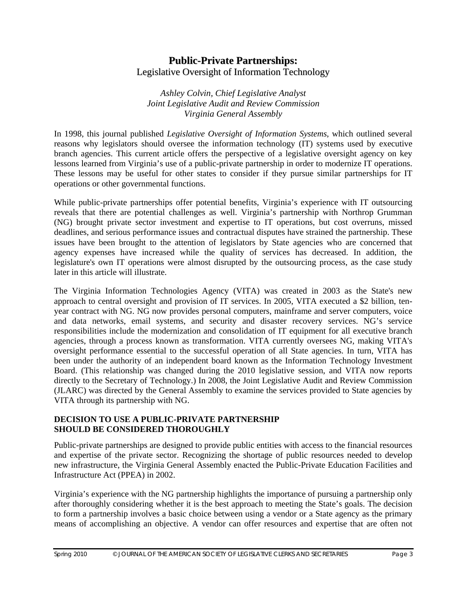## **Public-Private Partnerships:** Legislative Oversight of Information Technology

*Ashley Colvin, Chief Legislative Analyst Joint Legislative Audit and Review Commission Virginia General Assembly* 

In 1998, this journal published *Legislative Oversight of Information Systems*, which outlined several reasons why legislators should oversee the information technology (IT) systems used by executive branch agencies. This current article offers the perspective of a legislative oversight agency on key lessons learned from Virginia's use of a public-private partnership in order to modernize IT operations. These lessons may be useful for other states to consider if they pursue similar partnerships for IT operations or other governmental functions.

While public-private partnerships offer potential benefits, Virginia's experience with IT outsourcing reveals that there are potential challenges as well. Virginia's partnership with Northrop Grumman (NG) brought private sector investment and expertise to IT operations, but cost overruns, missed deadlines, and serious performance issues and contractual disputes have strained the partnership. These issues have been brought to the attention of legislators by State agencies who are concerned that agency expenses have increased while the quality of services has decreased. In addition, the legislature's own IT operations were almost disrupted by the outsourcing process, as the case study later in this article will illustrate.

The Virginia Information Technologies Agency (VITA) was created in 2003 as the State's new approach to central oversight and provision of IT services. In 2005, VITA executed a \$2 billion, tenyear contract with NG. NG now provides personal computers, mainframe and server computers, voice and data networks, email systems, and security and disaster recovery services. NG's service responsibilities include the modernization and consolidation of IT equipment for all executive branch agencies, through a process known as transformation. VITA currently oversees NG, making VITA's oversight performance essential to the successful operation of all State agencies. In turn, VITA has been under the authority of an independent board known as the Information Technology Investment Board. (This relationship was changed during the 2010 legislative session, and VITA now reports directly to the Secretary of Technology.) In 2008, the Joint Legislative Audit and Review Commission (JLARC) was directed by the General Assembly to examine the services provided to State agencies by VITA through its partnership with NG.

#### **DECISION TO USE A PUBLIC-PRIVATE PARTNERSHIP SHOULD BE CONSIDERED THOROUGHLY**

Public-private partnerships are designed to provide public entities with access to the financial resources and expertise of the private sector. Recognizing the shortage of public resources needed to develop new infrastructure, the Virginia General Assembly enacted the Public-Private Education Facilities and Infrastructure Act (PPEA) in 2002.

Virginia's experience with the NG partnership highlights the importance of pursuing a partnership only after thoroughly considering whether it is the best approach to meeting the State's goals. The decision to form a partnership involves a basic choice between using a vendor or a State agency as the primary means of accomplishing an objective. A vendor can offer resources and expertise that are often not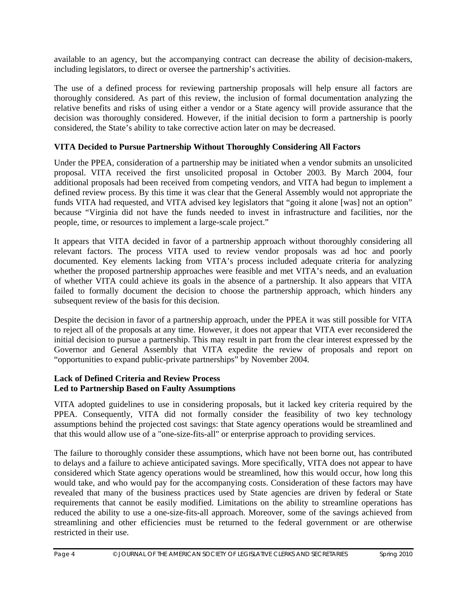available to an agency, but the accompanying contract can decrease the ability of decision-makers, including legislators, to direct or oversee the partnership's activities.

The use of a defined process for reviewing partnership proposals will help ensure all factors are thoroughly considered. As part of this review, the inclusion of formal documentation analyzing the relative benefits and risks of using either a vendor or a State agency will provide assurance that the decision was thoroughly considered. However, if the initial decision to form a partnership is poorly considered, the State's ability to take corrective action later on may be decreased.

#### **VITA Decided to Pursue Partnership Without Thoroughly Considering All Factors**

Under the PPEA, consideration of a partnership may be initiated when a vendor submits an unsolicited proposal. VITA received the first unsolicited proposal in October 2003. By March 2004, four additional proposals had been received from competing vendors, and VITA had begun to implement a defined review process. By this time it was clear that the General Assembly would not appropriate the funds VITA had requested, and VITA advised key legislators that "going it alone [was] not an option" because "Virginia did not have the funds needed to invest in infrastructure and facilities, nor the people, time, or resources to implement a large-scale project."

It appears that VITA decided in favor of a partnership approach without thoroughly considering all relevant factors. The process VITA used to review vendor proposals was ad hoc and poorly documented. Key elements lacking from VITA's process included adequate criteria for analyzing whether the proposed partnership approaches were feasible and met VITA's needs, and an evaluation of whether VITA could achieve its goals in the absence of a partnership. It also appears that VITA failed to formally document the decision to choose the partnership approach, which hinders any subsequent review of the basis for this decision.

Despite the decision in favor of a partnership approach, under the PPEA it was still possible for VITA to reject all of the proposals at any time. However, it does not appear that VITA ever reconsidered the initial decision to pursue a partnership. This may result in part from the clear interest expressed by the Governor and General Assembly that VITA expedite the review of proposals and report on "opportunities to expand public-private partnerships" by November 2004.

#### **Lack of Defined Criteria and Review Process Led to Partnership Based on Faulty Assumptions**

VITA adopted guidelines to use in considering proposals, but it lacked key criteria required by the PPEA. Consequently, VITA did not formally consider the feasibility of two key technology assumptions behind the projected cost savings: that State agency operations would be streamlined and that this would allow use of a "one-size-fits-all" or enterprise approach to providing services.

The failure to thoroughly consider these assumptions, which have not been borne out, has contributed to delays and a failure to achieve anticipated savings. More specifically, VITA does not appear to have considered which State agency operations would be streamlined, how this would occur, how long this would take, and who would pay for the accompanying costs. Consideration of these factors may have revealed that many of the business practices used by State agencies are driven by federal or State requirements that cannot be easily modified. Limitations on the ability to streamline operations has reduced the ability to use a one-size-fits-all approach. Moreover, some of the savings achieved from streamlining and other efficiencies must be returned to the federal government or are otherwise restricted in their use.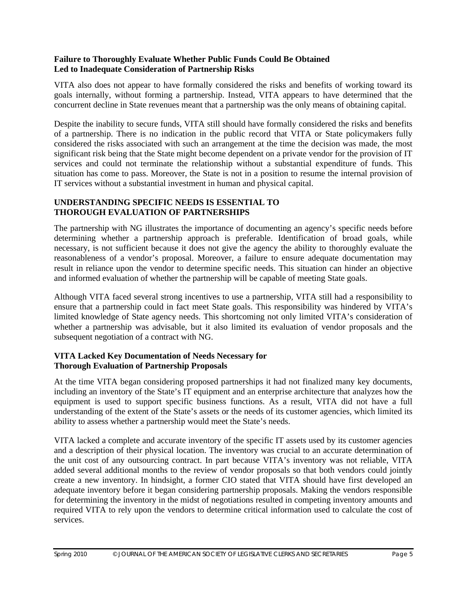#### **Failure to Thoroughly Evaluate Whether Public Funds Could Be Obtained Led to Inadequate Consideration of Partnership Risks**

VITA also does not appear to have formally considered the risks and benefits of working toward its goals internally, without forming a partnership. Instead, VITA appears to have determined that the concurrent decline in State revenues meant that a partnership was the only means of obtaining capital.

Despite the inability to secure funds, VITA still should have formally considered the risks and benefits of a partnership. There is no indication in the public record that VITA or State policymakers fully considered the risks associated with such an arrangement at the time the decision was made, the most significant risk being that the State might become dependent on a private vendor for the provision of IT services and could not terminate the relationship without a substantial expenditure of funds. This situation has come to pass. Moreover, the State is not in a position to resume the internal provision of IT services without a substantial investment in human and physical capital.

#### **UNDERSTANDING SPECIFIC NEEDS IS ESSENTIAL TO THOROUGH EVALUATION OF PARTNERSHIPS**

The partnership with NG illustrates the importance of documenting an agency's specific needs before determining whether a partnership approach is preferable. Identification of broad goals, while necessary, is not sufficient because it does not give the agency the ability to thoroughly evaluate the reasonableness of a vendor's proposal. Moreover, a failure to ensure adequate documentation may result in reliance upon the vendor to determine specific needs. This situation can hinder an objective and informed evaluation of whether the partnership will be capable of meeting State goals.

Although VITA faced several strong incentives to use a partnership, VITA still had a responsibility to ensure that a partnership could in fact meet State goals. This responsibility was hindered by VITA's limited knowledge of State agency needs. This shortcoming not only limited VITA's consideration of whether a partnership was advisable, but it also limited its evaluation of vendor proposals and the subsequent negotiation of a contract with NG.

#### **VITA Lacked Key Documentation of Needs Necessary for Thorough Evaluation of Partnership Proposals**

At the time VITA began considering proposed partnerships it had not finalized many key documents, including an inventory of the State's IT equipment and an enterprise architecture that analyzes how the equipment is used to support specific business functions. As a result, VITA did not have a full understanding of the extent of the State's assets or the needs of its customer agencies, which limited its ability to assess whether a partnership would meet the State's needs.

VITA lacked a complete and accurate inventory of the specific IT assets used by its customer agencies and a description of their physical location. The inventory was crucial to an accurate determination of the unit cost of any outsourcing contract. In part because VITA's inventory was not reliable, VITA added several additional months to the review of vendor proposals so that both vendors could jointly create a new inventory. In hindsight, a former CIO stated that VITA should have first developed an adequate inventory before it began considering partnership proposals. Making the vendors responsible for determining the inventory in the midst of negotiations resulted in competing inventory amounts and required VITA to rely upon the vendors to determine critical information used to calculate the cost of services.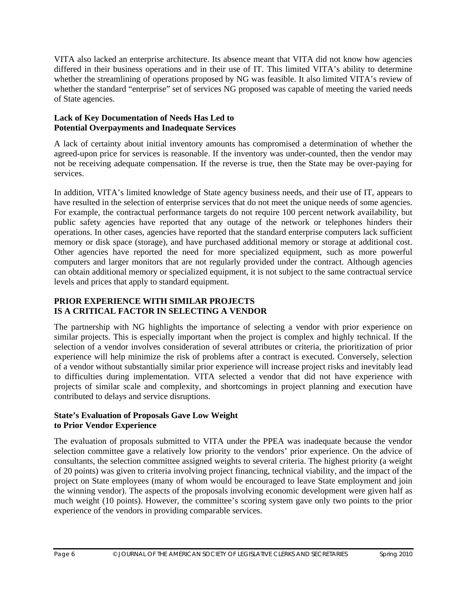VITA also lacked an enterprise architecture. Its absence meant that VITA did not know how agencies differed in their business operations and in their use of IT. This limited VITA's ability to determine whether the streamlining of operations proposed by NG was feasible. It also limited VITA's review of whether the standard "enterprise" set of services NG proposed was capable of meeting the varied needs of State agencies.

#### **Lack of Key Documentation of Needs Has Led to Potential Overpayments and Inadequate Services**

A lack of certainty about initial inventory amounts has compromised a determination of whether the agreed-upon price for services is reasonable. If the inventory was under-counted, then the vendor may not be receiving adequate compensation. If the reverse is true, then the State may be over-paying for services.

In addition, VITA's limited knowledge of State agency business needs, and their use of IT, appears to have resulted in the selection of enterprise services that do not meet the unique needs of some agencies. For example, the contractual performance targets do not require 100 percent network availability, but public safety agencies have reported that any outage of the network or telephones hinders their operations. In other cases, agencies have reported that the standard enterprise computers lack sufficient memory or disk space (storage), and have purchased additional memory or storage at additional cost. Other agencies have reported the need for more specialized equipment, such as more powerful computers and larger monitors that are not regularly provided under the contract. Although agencies can obtain additional memory or specialized equipment, it is not subject to the same contractual service levels and prices that apply to standard equipment.

## **PRIOR EXPERIENCE WITH SIMILAR PROJECTS IS A CRITICAL FACTOR IN SELECTING A VENDOR**

The partnership with NG highlights the importance of selecting a vendor with prior experience on similar projects. This is especially important when the project is complex and highly technical. If the selection of a vendor involves consideration of several attributes or criteria, the prioritization of prior experience will help minimize the risk of problems after a contract is executed. Conversely, selection of a vendor without substantially similar prior experience will increase project risks and inevitably lead to difficulties during implementation. VITA selected a vendor that did not have experience with projects of similar scale and complexity, and shortcomings in project planning and execution have contributed to delays and service disruptions.

#### **State's Evaluation of Proposals Gave Low Weight to Prior Vendor Experience**

The evaluation of proposals submitted to VITA under the PPEA was inadequate because the vendor selection committee gave a relatively low priority to the vendors' prior experience. On the advice of consultants, the selection committee assigned weights to several criteria. The highest priority (a weight of 20 points) was given to criteria involving project financing, technical viability, and the impact of the project on State employees (many of whom would be encouraged to leave State employment and join the winning vendor). The aspects of the proposals involving economic development were given half as much weight (10 points). However, the committee's scoring system gave only two points to the prior experience of the vendors in providing comparable services.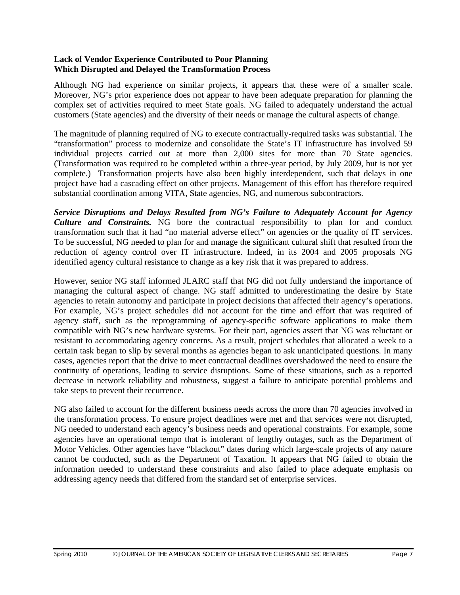#### **Lack of Vendor Experience Contributed to Poor Planning Which Disrupted and Delayed the Transformation Process**

Although NG had experience on similar projects, it appears that these were of a smaller scale. Moreover, NG's prior experience does not appear to have been adequate preparation for planning the complex set of activities required to meet State goals. NG failed to adequately understand the actual customers (State agencies) and the diversity of their needs or manage the cultural aspects of change.

The magnitude of planning required of NG to execute contractually-required tasks was substantial. The "transformation" process to modernize and consolidate the State's IT infrastructure has involved 59 individual projects carried out at more than 2,000 sites for more than 70 State agencies. (Transformation was required to be completed within a three-year period, by July 2009, but is not yet complete.) Transformation projects have also been highly interdependent, such that delays in one project have had a cascading effect on other projects. Management of this effort has therefore required substantial coordination among VITA, State agencies, NG, and numerous subcontractors.

*Service Disruptions and Delays Resulted from NG's Failure to Adequately Account for Agency Culture and Constraints.* NG bore the contractual responsibility to plan for and conduct transformation such that it had "no material adverse effect" on agencies or the quality of IT services. To be successful, NG needed to plan for and manage the significant cultural shift that resulted from the reduction of agency control over IT infrastructure. Indeed, in its 2004 and 2005 proposals NG identified agency cultural resistance to change as a key risk that it was prepared to address.

However, senior NG staff informed JLARC staff that NG did not fully understand the importance of managing the cultural aspect of change. NG staff admitted to underestimating the desire by State agencies to retain autonomy and participate in project decisions that affected their agency's operations. For example, NG's project schedules did not account for the time and effort that was required of agency staff, such as the reprogramming of agency-specific software applications to make them compatible with NG's new hardware systems. For their part, agencies assert that NG was reluctant or resistant to accommodating agency concerns. As a result, project schedules that allocated a week to a certain task began to slip by several months as agencies began to ask unanticipated questions. In many cases, agencies report that the drive to meet contractual deadlines overshadowed the need to ensure the continuity of operations, leading to service disruptions. Some of these situations, such as a reported decrease in network reliability and robustness, suggest a failure to anticipate potential problems and take steps to prevent their recurrence.

NG also failed to account for the different business needs across the more than 70 agencies involved in the transformation process. To ensure project deadlines were met and that services were not disrupted, NG needed to understand each agency's business needs and operational constraints. For example, some agencies have an operational tempo that is intolerant of lengthy outages, such as the Department of Motor Vehicles. Other agencies have "blackout" dates during which large-scale projects of any nature cannot be conducted, such as the Department of Taxation. It appears that NG failed to obtain the information needed to understand these constraints and also failed to place adequate emphasis on addressing agency needs that differed from the standard set of enterprise services.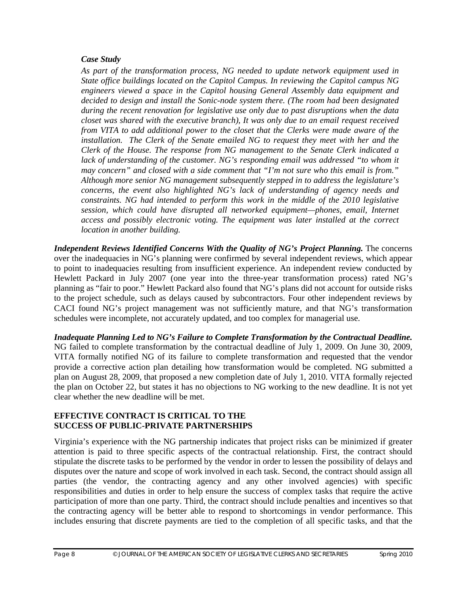#### *Case Study*

*As part of the transformation process, NG needed to update network equipment used in State office buildings located on the Capitol Campus. In reviewing the Capitol campus NG engineers viewed a space in the Capitol housing General Assembly data equipment and decided to design and install the Sonic-node system there. (The room had been designated during the recent renovation for legislative use only due to past disruptions when the data closet was shared with the executive branch), It was only due to an email request received from VITA to add additional power to the closet that the Clerks were made aware of the installation. The Clerk of the Senate emailed NG to request they meet with her and the Clerk of the House. The response from NG management to the Senate Clerk indicated a*  lack of understanding of the customer. NG's responding email was addressed "to whom it *may concern" and closed with a side comment that "I'm not sure who this email is from." Although more senior NG management subsequently stepped in to address the legislature's concerns, the event also highlighted NG's lack of understanding of agency needs and constraints. NG had intended to perform this work in the middle of the 2010 legislative session, which could have disrupted all networked equipment—phones, email, Internet access and possibly electronic voting. The equipment was later installed at the correct location in another building.* 

*Independent Reviews Identified Concerns With the Quality of NG's Project Planning.* The concerns over the inadequacies in NG's planning were confirmed by several independent reviews, which appear to point to inadequacies resulting from insufficient experience. An independent review conducted by Hewlett Packard in July 2007 (one year into the three-year transformation process) rated NG's planning as "fair to poor." Hewlett Packard also found that NG's plans did not account for outside risks to the project schedule, such as delays caused by subcontractors. Four other independent reviews by CACI found NG's project management was not sufficiently mature, and that NG's transformation schedules were incomplete, not accurately updated, and too complex for managerial use.

*Inadequate Planning Led to NG's Failure to Complete Transformation by the Contractual Deadline.* NG failed to complete transformation by the contractual deadline of July 1, 2009. On June 30, 2009, VITA formally notified NG of its failure to complete transformation and requested that the vendor provide a corrective action plan detailing how transformation would be completed. NG submitted a plan on August 28, 2009, that proposed a new completion date of July 1, 2010. VITA formally rejected the plan on October 22, but states it has no objections to NG working to the new deadline. It is not yet clear whether the new deadline will be met.

#### **EFFECTIVE CONTRACT IS CRITICAL TO THE SUCCESS OF PUBLIC-PRIVATE PARTNERSHIPS**

Virginia's experience with the NG partnership indicates that project risks can be minimized if greater attention is paid to three specific aspects of the contractual relationship. First, the contract should stipulate the discrete tasks to be performed by the vendor in order to lessen the possibility of delays and disputes over the nature and scope of work involved in each task. Second, the contract should assign all parties (the vendor, the contracting agency and any other involved agencies) with specific responsibilities and duties in order to help ensure the success of complex tasks that require the active participation of more than one party. Third, the contract should include penalties and incentives so that the contracting agency will be better able to respond to shortcomings in vendor performance. This includes ensuring that discrete payments are tied to the completion of all specific tasks, and that the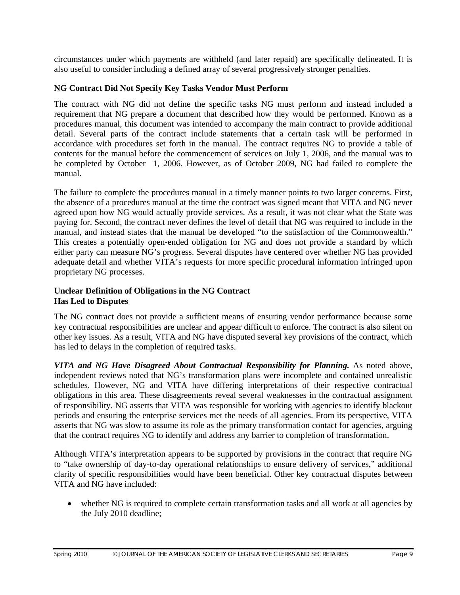circumstances under which payments are withheld (and later repaid) are specifically delineated. It is also useful to consider including a defined array of several progressively stronger penalties.

#### **NG Contract Did Not Specify Key Tasks Vendor Must Perform**

The contract with NG did not define the specific tasks NG must perform and instead included a requirement that NG prepare a document that described how they would be performed. Known as a procedures manual, this document was intended to accompany the main contract to provide additional detail. Several parts of the contract include statements that a certain task will be performed in accordance with procedures set forth in the manual. The contract requires NG to provide a table of contents for the manual before the commencement of services on July 1, 2006, and the manual was to be completed by October 1, 2006. However, as of October 2009, NG had failed to complete the manual.

The failure to complete the procedures manual in a timely manner points to two larger concerns. First, the absence of a procedures manual at the time the contract was signed meant that VITA and NG never agreed upon how NG would actually provide services. As a result, it was not clear what the State was paying for. Second, the contract never defines the level of detail that NG was required to include in the manual, and instead states that the manual be developed "to the satisfaction of the Commonwealth." This creates a potentially open-ended obligation for NG and does not provide a standard by which either party can measure NG's progress. Several disputes have centered over whether NG has provided adequate detail and whether VITA's requests for more specific procedural information infringed upon proprietary NG processes.

#### **Unclear Definition of Obligations in the NG Contract Has Led to Disputes**

The NG contract does not provide a sufficient means of ensuring vendor performance because some key contractual responsibilities are unclear and appear difficult to enforce. The contract is also silent on other key issues. As a result, VITA and NG have disputed several key provisions of the contract, which has led to delays in the completion of required tasks.

*VITA and NG Have Disagreed About Contractual Responsibility for Planning.* As noted above, independent reviews noted that NG's transformation plans were incomplete and contained unrealistic schedules. However, NG and VITA have differing interpretations of their respective contractual obligations in this area. These disagreements reveal several weaknesses in the contractual assignment of responsibility. NG asserts that VITA was responsible for working with agencies to identify blackout periods and ensuring the enterprise services met the needs of all agencies. From its perspective, VITA asserts that NG was slow to assume its role as the primary transformation contact for agencies, arguing that the contract requires NG to identify and address any barrier to completion of transformation.

Although VITA's interpretation appears to be supported by provisions in the contract that require NG to "take ownership of day-to-day operational relationships to ensure delivery of services," additional clarity of specific responsibilities would have been beneficial. Other key contractual disputes between VITA and NG have included:

• whether NG is required to complete certain transformation tasks and all work at all agencies by the July 2010 deadline;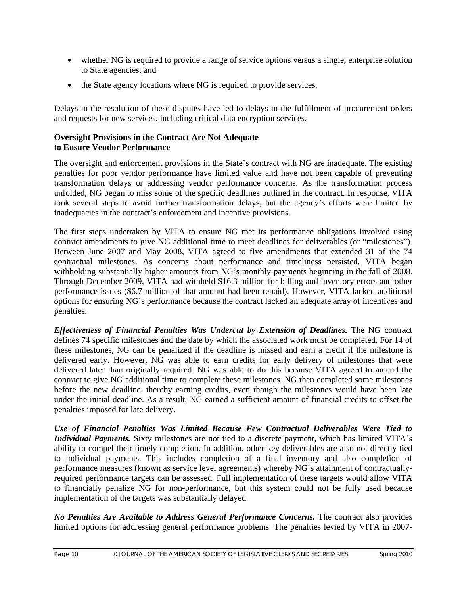- whether NG is required to provide a range of service options versus a single, enterprise solution to State agencies; and
- the State agency locations where NG is required to provide services.

Delays in the resolution of these disputes have led to delays in the fulfillment of procurement orders and requests for new services, including critical data encryption services.

#### **Oversight Provisions in the Contract Are Not Adequate to Ensure Vendor Performance**

The oversight and enforcement provisions in the State's contract with NG are inadequate. The existing penalties for poor vendor performance have limited value and have not been capable of preventing transformation delays or addressing vendor performance concerns. As the transformation process unfolded, NG began to miss some of the specific deadlines outlined in the contract. In response, VITA took several steps to avoid further transformation delays, but the agency's efforts were limited by inadequacies in the contract's enforcement and incentive provisions.

The first steps undertaken by VITA to ensure NG met its performance obligations involved using contract amendments to give NG additional time to meet deadlines for deliverables (or "milestones"). Between June 2007 and May 2008, VITA agreed to five amendments that extended 31 of the 74 contractual milestones. As concerns about performance and timeliness persisted, VITA began withholding substantially higher amounts from NG's monthly payments beginning in the fall of 2008. Through December 2009, VITA had withheld \$16.3 million for billing and inventory errors and other performance issues (\$6.7 million of that amount had been repaid). However, VITA lacked additional options for ensuring NG's performance because the contract lacked an adequate array of incentives and penalties.

*Effectiveness of Financial Penalties Was Undercut by Extension of Deadlines.* The NG contract defines 74 specific milestones and the date by which the associated work must be completed. For 14 of these milestones, NG can be penalized if the deadline is missed and earn a credit if the milestone is delivered early. However, NG was able to earn credits for early delivery of milestones that were delivered later than originally required. NG was able to do this because VITA agreed to amend the contract to give NG additional time to complete these milestones. NG then completed some milestones before the new deadline, thereby earning credits, even though the milestones would have been late under the initial deadline. As a result, NG earned a sufficient amount of financial credits to offset the penalties imposed for late delivery.

*Use of Financial Penalties Was Limited Because Few Contractual Deliverables Were Tied to Individual Payments.* Sixty milestones are not tied to a discrete payment, which has limited VITA's ability to compel their timely completion. In addition, other key deliverables are also not directly tied to individual payments. This includes completion of a final inventory and also completion of performance measures (known as service level agreements) whereby NG's attainment of contractuallyrequired performance targets can be assessed. Full implementation of these targets would allow VITA to financially penalize NG for non-performance, but this system could not be fully used because implementation of the targets was substantially delayed.

*No Penalties Are Available to Address General Performance Concerns.* The contract also provides limited options for addressing general performance problems. The penalties levied by VITA in 2007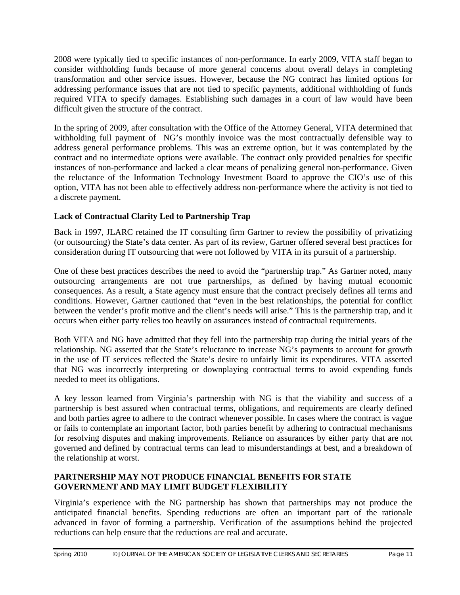2008 were typically tied to specific instances of non-performance. In early 2009, VITA staff began to consider withholding funds because of more general concerns about overall delays in completing transformation and other service issues. However, because the NG contract has limited options for addressing performance issues that are not tied to specific payments, additional withholding of funds required VITA to specify damages. Establishing such damages in a court of law would have been difficult given the structure of the contract.

In the spring of 2009, after consultation with the Office of the Attorney General, VITA determined that withholding full payment of NG's monthly invoice was the most contractually defensible way to address general performance problems. This was an extreme option, but it was contemplated by the contract and no intermediate options were available. The contract only provided penalties for specific instances of non-performance and lacked a clear means of penalizing general non-performance. Given the reluctance of the Information Technology Investment Board to approve the CIO's use of this option, VITA has not been able to effectively address non-performance where the activity is not tied to a discrete payment.

#### **Lack of Contractual Clarity Led to Partnership Trap**

Back in 1997, JLARC retained the IT consulting firm Gartner to review the possibility of privatizing (or outsourcing) the State's data center. As part of its review, Gartner offered several best practices for consideration during IT outsourcing that were not followed by VITA in its pursuit of a partnership.

One of these best practices describes the need to avoid the "partnership trap." As Gartner noted, many outsourcing arrangements are not true partnerships, as defined by having mutual economic consequences. As a result, a State agency must ensure that the contract precisely defines all terms and conditions. However, Gartner cautioned that "even in the best relationships, the potential for conflict between the vender's profit motive and the client's needs will arise." This is the partnership trap, and it occurs when either party relies too heavily on assurances instead of contractual requirements.

Both VITA and NG have admitted that they fell into the partnership trap during the initial years of the relationship. NG asserted that the State's reluctance to increase NG's payments to account for growth in the use of IT services reflected the State's desire to unfairly limit its expenditures. VITA asserted that NG was incorrectly interpreting or downplaying contractual terms to avoid expending funds needed to meet its obligations.

A key lesson learned from Virginia's partnership with NG is that the viability and success of a partnership is best assured when contractual terms, obligations, and requirements are clearly defined and both parties agree to adhere to the contract whenever possible. In cases where the contract is vague or fails to contemplate an important factor, both parties benefit by adhering to contractual mechanisms for resolving disputes and making improvements. Reliance on assurances by either party that are not governed and defined by contractual terms can lead to misunderstandings at best, and a breakdown of the relationship at worst.

#### **PARTNERSHIP MAY NOT PRODUCE FINANCIAL BENEFITS FOR STATE GOVERNMENT AND MAY LIMIT BUDGET FLEXIBILITY**

Virginia's experience with the NG partnership has shown that partnerships may not produce the anticipated financial benefits. Spending reductions are often an important part of the rationale advanced in favor of forming a partnership. Verification of the assumptions behind the projected reductions can help ensure that the reductions are real and accurate.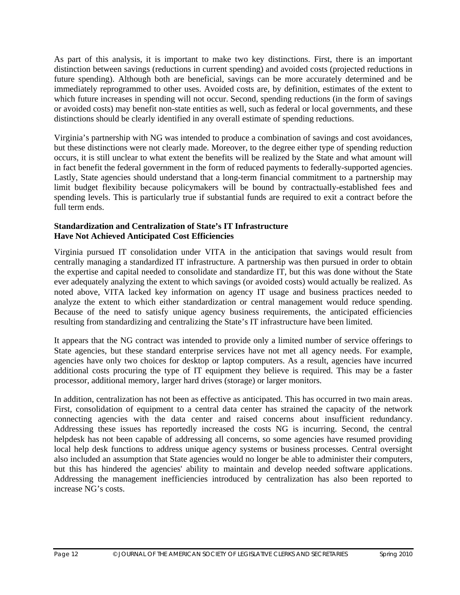As part of this analysis, it is important to make two key distinctions. First, there is an important distinction between savings (reductions in current spending) and avoided costs (projected reductions in future spending). Although both are beneficial, savings can be more accurately determined and be immediately reprogrammed to other uses. Avoided costs are, by definition, estimates of the extent to which future increases in spending will not occur. Second, spending reductions (in the form of savings or avoided costs) may benefit non-state entities as well, such as federal or local governments, and these distinctions should be clearly identified in any overall estimate of spending reductions.

Virginia's partnership with NG was intended to produce a combination of savings and cost avoidances, but these distinctions were not clearly made. Moreover, to the degree either type of spending reduction occurs, it is still unclear to what extent the benefits will be realized by the State and what amount will in fact benefit the federal government in the form of reduced payments to federally-supported agencies. Lastly, State agencies should understand that a long-term financial commitment to a partnership may limit budget flexibility because policymakers will be bound by contractually-established fees and spending levels. This is particularly true if substantial funds are required to exit a contract before the full term ends.

#### **Standardization and Centralization of State's IT Infrastructure Have Not Achieved Anticipated Cost Efficiencies**

Virginia pursued IT consolidation under VITA in the anticipation that savings would result from centrally managing a standardized IT infrastructure. A partnership was then pursued in order to obtain the expertise and capital needed to consolidate and standardize IT, but this was done without the State ever adequately analyzing the extent to which savings (or avoided costs) would actually be realized. As noted above, VITA lacked key information on agency IT usage and business practices needed to analyze the extent to which either standardization or central management would reduce spending. Because of the need to satisfy unique agency business requirements, the anticipated efficiencies resulting from standardizing and centralizing the State's IT infrastructure have been limited.

It appears that the NG contract was intended to provide only a limited number of service offerings to State agencies, but these standard enterprise services have not met all agency needs. For example, agencies have only two choices for desktop or laptop computers. As a result, agencies have incurred additional costs procuring the type of IT equipment they believe is required. This may be a faster processor, additional memory, larger hard drives (storage) or larger monitors.

In addition, centralization has not been as effective as anticipated. This has occurred in two main areas. First, consolidation of equipment to a central data center has strained the capacity of the network connecting agencies with the data center and raised concerns about insufficient redundancy. Addressing these issues has reportedly increased the costs NG is incurring. Second, the central helpdesk has not been capable of addressing all concerns, so some agencies have resumed providing local help desk functions to address unique agency systems or business processes. Central oversight also included an assumption that State agencies would no longer be able to administer their computers, but this has hindered the agencies' ability to maintain and develop needed software applications. Addressing the management inefficiencies introduced by centralization has also been reported to increase NG's costs.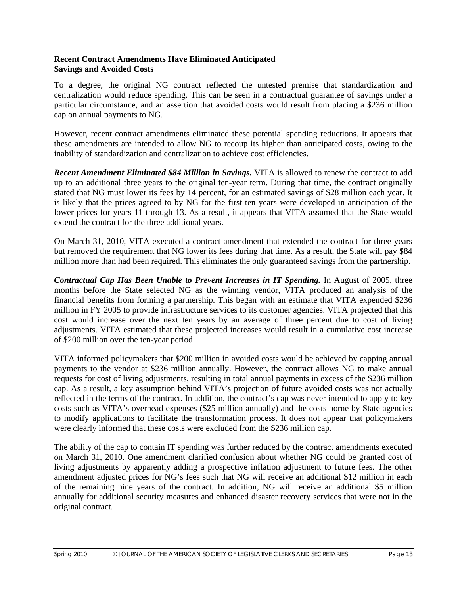#### **Recent Contract Amendments Have Eliminated Anticipated Savings and Avoided Costs**

To a degree, the original NG contract reflected the untested premise that standardization and centralization would reduce spending. This can be seen in a contractual guarantee of savings under a particular circumstance, and an assertion that avoided costs would result from placing a \$236 million cap on annual payments to NG.

However, recent contract amendments eliminated these potential spending reductions. It appears that these amendments are intended to allow NG to recoup its higher than anticipated costs, owing to the inability of standardization and centralization to achieve cost efficiencies.

*Recent Amendment Eliminated \$84 Million in Savings.* VITA is allowed to renew the contract to add up to an additional three years to the original ten-year term. During that time, the contract originally stated that NG must lower its fees by 14 percent, for an estimated savings of \$28 million each year. It is likely that the prices agreed to by NG for the first ten years were developed in anticipation of the lower prices for years 11 through 13. As a result, it appears that VITA assumed that the State would extend the contract for the three additional years.

On March 31, 2010, VITA executed a contract amendment that extended the contract for three years but removed the requirement that NG lower its fees during that time. As a result, the State will pay \$84 million more than had been required. This eliminates the only guaranteed savings from the partnership.

*Contractual Cap Has Been Unable to Prevent Increases in IT Spending.* In August of 2005, three months before the State selected NG as the winning vendor, VITA produced an analysis of the financial benefits from forming a partnership. This began with an estimate that VITA expended \$236 million in FY 2005 to provide infrastructure services to its customer agencies. VITA projected that this cost would increase over the next ten years by an average of three percent due to cost of living adjustments. VITA estimated that these projected increases would result in a cumulative cost increase of \$200 million over the ten-year period.

VITA informed policymakers that \$200 million in avoided costs would be achieved by capping annual payments to the vendor at \$236 million annually. However, the contract allows NG to make annual requests for cost of living adjustments, resulting in total annual payments in excess of the \$236 million cap. As a result, a key assumption behind VITA's projection of future avoided costs was not actually reflected in the terms of the contract. In addition, the contract's cap was never intended to apply to key costs such as VITA's overhead expenses (\$25 million annually) and the costs borne by State agencies to modify applications to facilitate the transformation process. It does not appear that policymakers were clearly informed that these costs were excluded from the \$236 million cap.

The ability of the cap to contain IT spending was further reduced by the contract amendments executed on March 31, 2010. One amendment clarified confusion about whether NG could be granted cost of living adjustments by apparently adding a prospective inflation adjustment to future fees. The other amendment adjusted prices for NG's fees such that NG will receive an additional \$12 million in each of the remaining nine years of the contract. In addition, NG will receive an additional \$5 million annually for additional security measures and enhanced disaster recovery services that were not in the original contract.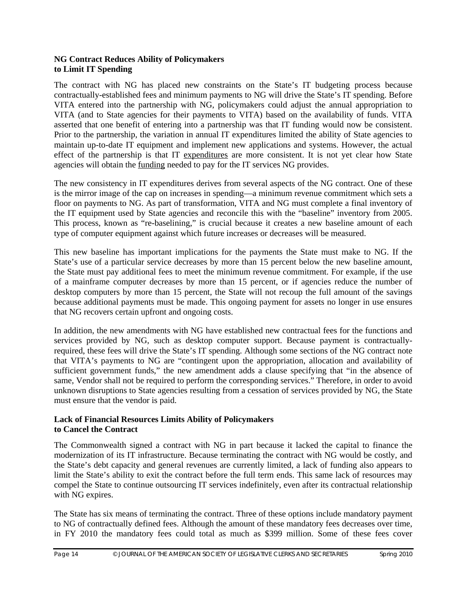#### **NG Contract Reduces Ability of Policymakers to Limit IT Spending**

The contract with NG has placed new constraints on the State's IT budgeting process because contractually-established fees and minimum payments to NG will drive the State's IT spending. Before VITA entered into the partnership with NG, policymakers could adjust the annual appropriation to VITA (and to State agencies for their payments to VITA) based on the availability of funds. VITA asserted that one benefit of entering into a partnership was that IT funding would now be consistent. Prior to the partnership, the variation in annual IT expenditures limited the ability of State agencies to maintain up-to-date IT equipment and implement new applications and systems. However, the actual effect of the partnership is that IT expenditures are more consistent. It is not yet clear how State agencies will obtain the funding needed to pay for the IT services NG provides.

The new consistency in IT expenditures derives from several aspects of the NG contract. One of these is the mirror image of the cap on increases in spending—a minimum revenue commitment which sets a floor on payments to NG. As part of transformation, VITA and NG must complete a final inventory of the IT equipment used by State agencies and reconcile this with the "baseline" inventory from 2005. This process, known as "re-baselining," is crucial because it creates a new baseline amount of each type of computer equipment against which future increases or decreases will be measured.

This new baseline has important implications for the payments the State must make to NG. If the State's use of a particular service decreases by more than 15 percent below the new baseline amount, the State must pay additional fees to meet the minimum revenue commitment. For example, if the use of a mainframe computer decreases by more than 15 percent, or if agencies reduce the number of desktop computers by more than 15 percent, the State will not recoup the full amount of the savings because additional payments must be made. This ongoing payment for assets no longer in use ensures that NG recovers certain upfront and ongoing costs.

In addition, the new amendments with NG have established new contractual fees for the functions and services provided by NG, such as desktop computer support. Because payment is contractuallyrequired, these fees will drive the State's IT spending. Although some sections of the NG contract note that VITA's payments to NG are "contingent upon the appropriation, allocation and availability of sufficient government funds," the new amendment adds a clause specifying that "in the absence of same, Vendor shall not be required to perform the corresponding services." Therefore, in order to avoid unknown disruptions to State agencies resulting from a cessation of services provided by NG, the State must ensure that the vendor is paid.

#### **Lack of Financial Resources Limits Ability of Policymakers to Cancel the Contract**

The Commonwealth signed a contract with NG in part because it lacked the capital to finance the modernization of its IT infrastructure. Because terminating the contract with NG would be costly, and the State's debt capacity and general revenues are currently limited, a lack of funding also appears to limit the State's ability to exit the contract before the full term ends. This same lack of resources may compel the State to continue outsourcing IT services indefinitely, even after its contractual relationship with NG expires.

The State has six means of terminating the contract. Three of these options include mandatory payment to NG of contractually defined fees. Although the amount of these mandatory fees decreases over time, in FY 2010 the mandatory fees could total as much as \$399 million. Some of these fees cover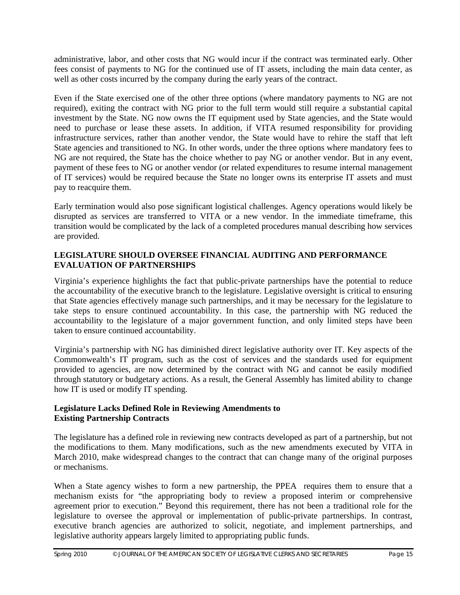administrative, labor, and other costs that NG would incur if the contract was terminated early. Other fees consist of payments to NG for the continued use of IT assets, including the main data center, as well as other costs incurred by the company during the early years of the contract.

Even if the State exercised one of the other three options (where mandatory payments to NG are not required), exiting the contract with NG prior to the full term would still require a substantial capital investment by the State. NG now owns the IT equipment used by State agencies, and the State would need to purchase or lease these assets. In addition, if VITA resumed responsibility for providing infrastructure services, rather than another vendor, the State would have to rehire the staff that left State agencies and transitioned to NG. In other words, under the three options where mandatory fees to NG are not required, the State has the choice whether to pay NG or another vendor. But in any event, payment of these fees to NG or another vendor (or related expenditures to resume internal management of IT services) would be required because the State no longer owns its enterprise IT assets and must pay to reacquire them.

Early termination would also pose significant logistical challenges. Agency operations would likely be disrupted as services are transferred to VITA or a new vendor. In the immediate timeframe, this transition would be complicated by the lack of a completed procedures manual describing how services are provided.

#### **LEGISLATURE SHOULD OVERSEE FINANCIAL AUDITING AND PERFORMANCE EVALUATION OF PARTNERSHIPS**

Virginia's experience highlights the fact that public-private partnerships have the potential to reduce the accountability of the executive branch to the legislature. Legislative oversight is critical to ensuring that State agencies effectively manage such partnerships, and it may be necessary for the legislature to take steps to ensure continued accountability. In this case, the partnership with NG reduced the accountability to the legislature of a major government function, and only limited steps have been taken to ensure continued accountability.

Virginia's partnership with NG has diminished direct legislative authority over IT. Key aspects of the Commonwealth's IT program, such as the cost of services and the standards used for equipment provided to agencies, are now determined by the contract with NG and cannot be easily modified through statutory or budgetary actions. As a result, the General Assembly has limited ability to change how IT is used or modify IT spending.

#### **Legislature Lacks Defined Role in Reviewing Amendments to Existing Partnership Contracts**

The legislature has a defined role in reviewing new contracts developed as part of a partnership, but not the modifications to them. Many modifications, such as the new amendments executed by VITA in March 2010, make widespread changes to the contract that can change many of the original purposes or mechanisms.

When a State agency wishes to form a new partnership, the PPEA requires them to ensure that a mechanism exists for "the appropriating body to review a proposed interim or comprehensive agreement prior to execution." Beyond this requirement, there has not been a traditional role for the legislature to oversee the approval or implementation of public-private partnerships. In contrast, executive branch agencies are authorized to solicit, negotiate, and implement partnerships, and legislative authority appears largely limited to appropriating public funds.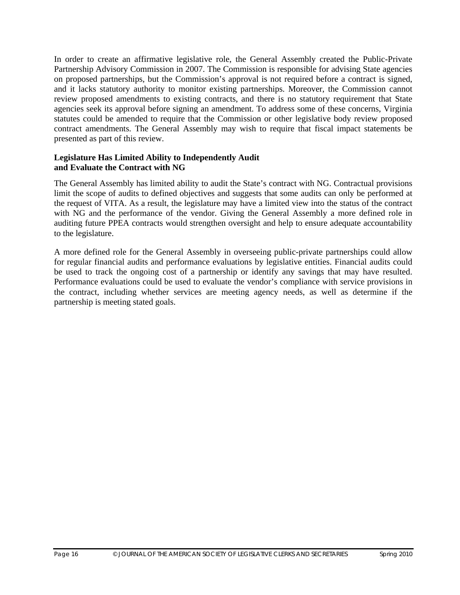In order to create an affirmative legislative role, the General Assembly created the Public-Private Partnership Advisory Commission in 2007. The Commission is responsible for advising State agencies on proposed partnerships, but the Commission's approval is not required before a contract is signed, and it lacks statutory authority to monitor existing partnerships. Moreover, the Commission cannot review proposed amendments to existing contracts, and there is no statutory requirement that State agencies seek its approval before signing an amendment. To address some of these concerns, Virginia statutes could be amended to require that the Commission or other legislative body review proposed contract amendments. The General Assembly may wish to require that fiscal impact statements be presented as part of this review.

#### **Legislature Has Limited Ability to Independently Audit and Evaluate the Contract with NG**

The General Assembly has limited ability to audit the State's contract with NG. Contractual provisions limit the scope of audits to defined objectives and suggests that some audits can only be performed at the request of VITA. As a result, the legislature may have a limited view into the status of the contract with NG and the performance of the vendor. Giving the General Assembly a more defined role in auditing future PPEA contracts would strengthen oversight and help to ensure adequate accountability to the legislature.

A more defined role for the General Assembly in overseeing public-private partnerships could allow for regular financial audits and performance evaluations by legislative entities. Financial audits could be used to track the ongoing cost of a partnership or identify any savings that may have resulted. Performance evaluations could be used to evaluate the vendor's compliance with service provisions in the contract, including whether services are meeting agency needs, as well as determine if the partnership is meeting stated goals.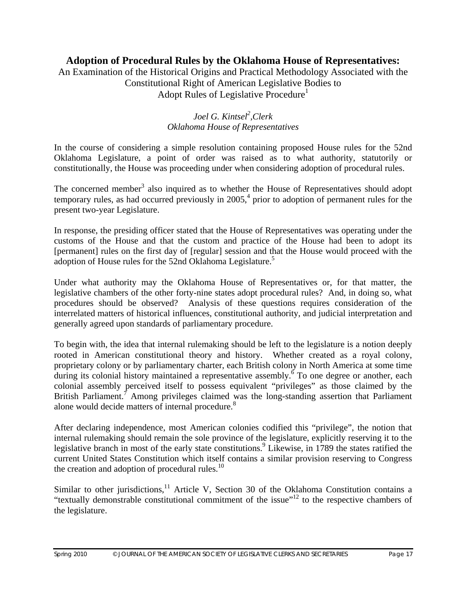## **Adoption of Procedural Rules by the Oklahoma House of Representatives:**

An Examination of the Historical Origins and Practical Methodology Associated with the Constitutional Right of American Legislative Bodies to Adopt Rules of Legislative Procedure<sup>1</sup>

#### *Joel G. Kintsel<sup>2</sup>,Clerk Oklahoma House of Representatives*

In the course of considering a simple resolution containing proposed House rules for the 52nd Oklahoma Legislature, a point of order was raised as to what authority, statutorily or constitutionally, the House was proceeding under when considering adoption of procedural rules.

The concerned member<sup>3</sup> also inquired as to whether the House of Representatives should adopt temporary rules, as had occurred previously in 2005,<sup>4</sup> prior to adoption of permanent rules for the present two-year Legislature.

In response, the presiding officer stated that the House of Representatives was operating under the customs of the House and that the custom and practice of the House had been to adopt its [permanent] rules on the first day of [regular] session and that the House would proceed with the adoption of House rules for the 52nd Oklahoma Legislature.<sup>5</sup>

Under what authority may the Oklahoma House of Representatives or, for that matter, the legislative chambers of the other forty-nine states adopt procedural rules? And, in doing so, what procedures should be observed? Analysis of these questions requires consideration of the interrelated matters of historical influences, constitutional authority, and judicial interpretation and generally agreed upon standards of parliamentary procedure.

To begin with, the idea that internal rulemaking should be left to the legislature is a notion deeply rooted in American constitutional theory and history. Whether created as a royal colony, proprietary colony or by parliamentary charter, each British colony in North America at some time during its colonial history maintained a representative assembly.<sup>6</sup> To one degree or another, each colonial assembly perceived itself to possess equivalent "privileges" as those claimed by the British Parliament.<sup>7</sup> Among privileges claimed was the long-standing assertion that Parliament alone would decide matters of internal procedure.<sup>8</sup>

After declaring independence, most American colonies codified this "privilege", the notion that internal rulemaking should remain the sole province of the legislature, explicitly reserving it to the legislative branch in most of the early state constitutions.<sup>9</sup> Likewise, in 1789 the states ratified the current United States Constitution which itself contains a similar provision reserving to Congress the creation and adoption of procedural rules.<sup>10</sup>

Similar to other jurisdictions, $11$  Article V, Section 30 of the Oklahoma Constitution contains a "textually demonstrable constitutional commitment of the issue"12 to the respective chambers of the legislature.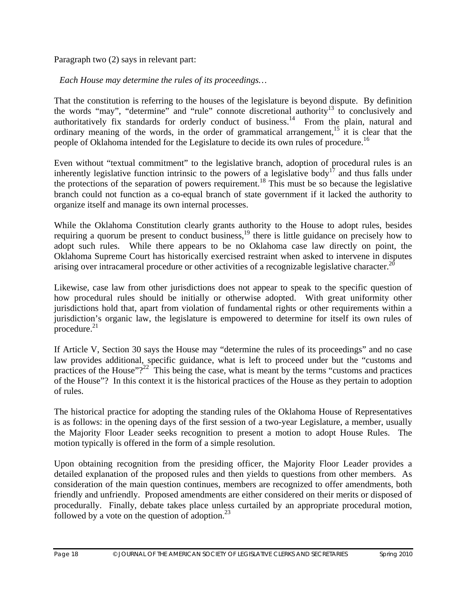Paragraph two (2) says in relevant part:

## *Each House may determine the rules of its proceedings…*

That the constitution is referring to the houses of the legislature is beyond dispute. By definition the words "may", "determine" and "rule" connote discretional authority<sup>13</sup> to conclusively and authoritatively fix standards for orderly conduct of business.<sup>14</sup> From the plain, natural and ordinary meaning of the words, in the order of grammatical arrangement,<sup>15</sup> it is clear that the people of Oklahoma intended for the Legislature to decide its own rules of procedure.<sup>16</sup>

Even without "textual commitment" to the legislative branch, adoption of procedural rules is an inherently legislative function intrinsic to the powers of a legislative body<sup>17</sup> and thus falls under the protections of the separation of powers requirement.<sup>18</sup> This must be so because the legislative branch could not function as a co-equal branch of state government if it lacked the authority to organize itself and manage its own internal processes.

While the Oklahoma Constitution clearly grants authority to the House to adopt rules, besides requiring a quorum be present to conduct business,<sup>19</sup> there is little guidance on precisely how to adopt such rules. While there appears to be no Oklahoma case law directly on point, the Oklahoma Supreme Court has historically exercised restraint when asked to intervene in disputes arising over intracameral procedure or other activities of a recognizable legislative character.<sup>20</sup>

Likewise, case law from other jurisdictions does not appear to speak to the specific question of how procedural rules should be initially or otherwise adopted. With great uniformity other jurisdictions hold that, apart from violation of fundamental rights or other requirements within a jurisdiction's organic law, the legislature is empowered to determine for itself its own rules of procedure. $21$ 

If Article V, Section 30 says the House may "determine the rules of its proceedings" and no case law provides additional, specific guidance, what is left to proceed under but the "customs and practices of the House" $2^{22}$ . This being the case, what is meant by the terms "customs and practices" of the House"? In this context it is the historical practices of the House as they pertain to adoption of rules.

The historical practice for adopting the standing rules of the Oklahoma House of Representatives is as follows: in the opening days of the first session of a two-year Legislature, a member, usually the Majority Floor Leader seeks recognition to present a motion to adopt House Rules. The motion typically is offered in the form of a simple resolution.

Upon obtaining recognition from the presiding officer, the Majority Floor Leader provides a detailed explanation of the proposed rules and then yields to questions from other members. As consideration of the main question continues, members are recognized to offer amendments, both friendly and unfriendly. Proposed amendments are either considered on their merits or disposed of procedurally. Finally, debate takes place unless curtailed by an appropriate procedural motion, followed by a vote on the question of adoption. $^{23}$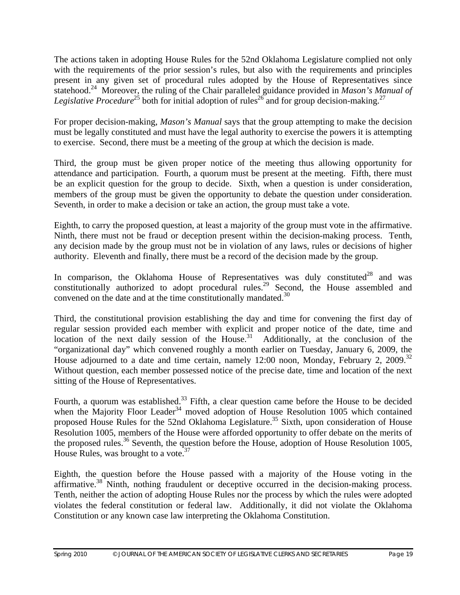The actions taken in adopting House Rules for the 52nd Oklahoma Legislature complied not only with the requirements of the prior session's rules, but also with the requirements and principles present in any given set of procedural rules adopted by the House of Representatives since statehood.24 Moreover, the ruling of the Chair paralleled guidance provided in *Mason's Manual of Legislative Procedure*<sup>25</sup> both for initial adoption of rules<sup>26</sup> and for group decision-making.<sup>27</sup>

For proper decision-making, *Mason's Manual* says that the group attempting to make the decision must be legally constituted and must have the legal authority to exercise the powers it is attempting to exercise. Second, there must be a meeting of the group at which the decision is made.

Third, the group must be given proper notice of the meeting thus allowing opportunity for attendance and participation. Fourth, a quorum must be present at the meeting. Fifth, there must be an explicit question for the group to decide. Sixth, when a question is under consideration, members of the group must be given the opportunity to debate the question under consideration. Seventh, in order to make a decision or take an action, the group must take a vote.

Eighth, to carry the proposed question, at least a majority of the group must vote in the affirmative. Ninth, there must not be fraud or deception present within the decision-making process. Tenth, any decision made by the group must not be in violation of any laws, rules or decisions of higher authority. Eleventh and finally, there must be a record of the decision made by the group.

In comparison, the Oklahoma House of Representatives was duly constituted $^{28}$  and was constitutionally authorized to adopt procedural rules.<sup>29</sup> Second, the House assembled and convened on the date and at the time constitutionally mandated.<sup>30</sup>

Third, the constitutional provision establishing the day and time for convening the first day of regular session provided each member with explicit and proper notice of the date, time and  $\frac{1}{2}$  location of the next daily session of the House.<sup>31</sup> Additionally, at the conclusion of the "organizational day" which convened roughly a month earlier on Tuesday, January 6, 2009, the House adjourned to a date and time certain, namely 12:00 noon, Monday, February 2, 2009.<sup>32</sup> Without question, each member possessed notice of the precise date, time and location of the next sitting of the House of Representatives.

Fourth, a quorum was established.<sup>33</sup> Fifth, a clear question came before the House to be decided when the Majority Floor Leader<sup>34</sup> moved adoption of House Resolution 1005 which contained proposed House Rules for the 52nd Oklahoma Legislature.<sup>35</sup> Sixth, upon consideration of House Resolution 1005, members of the House were afforded opportunity to offer debate on the merits of the proposed rules.<sup>36</sup> Seventh, the question before the House, adoption of House Resolution 1005, House Rules, was brought to a vote. $37$ 

Eighth, the question before the House passed with a majority of the House voting in the affirmative.<sup>38</sup> Ninth, nothing fraudulent or deceptive occurred in the decision-making process. Tenth, neither the action of adopting House Rules nor the process by which the rules were adopted violates the federal constitution or federal law. Additionally, it did not violate the Oklahoma Constitution or any known case law interpreting the Oklahoma Constitution.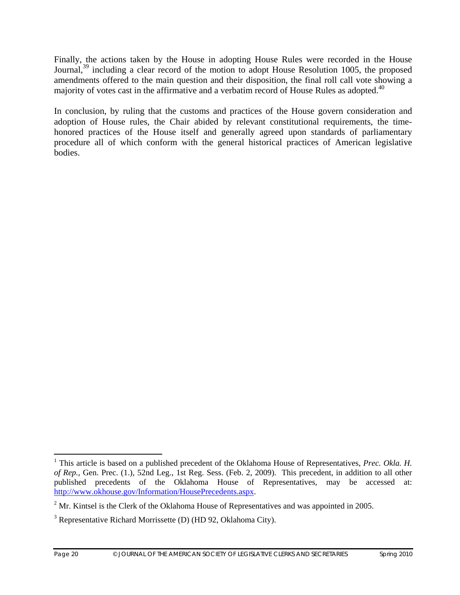Finally, the actions taken by the House in adopting House Rules were recorded in the House Journal,<sup>39</sup> including a clear record of the motion to adopt House Resolution 1005, the proposed amendments offered to the main question and their disposition, the final roll call vote showing a majority of votes cast in the affirmative and a verbatim record of House Rules as adopted.<sup>40</sup>

In conclusion, by ruling that the customs and practices of the House govern consideration and adoption of House rules, the Chair abided by relevant constitutional requirements, the timehonored practices of the House itself and generally agreed upon standards of parliamentary procedure all of which conform with the general historical practices of American legislative bodies.

 $\overline{a}$ <sup>1</sup> This article is based on a published precedent of the Oklahoma House of Representatives, *Prec. Okla. H. of Rep.,* Gen. Prec. (1.), 52nd Leg., 1st Reg. Sess. (Feb. 2, 2009). This precedent, in addition to all other published precedents of the Oklahoma House of Representatives, may be accessed at: http://www.okhouse.gov/Information/HousePrecedents.aspx.

 $2^2$  Mr. Kintsel is the Clerk of the Oklahoma House of Representatives and was appointed in 2005.

 $3$  Representative Richard Morrissette (D) (HD 92, Oklahoma City).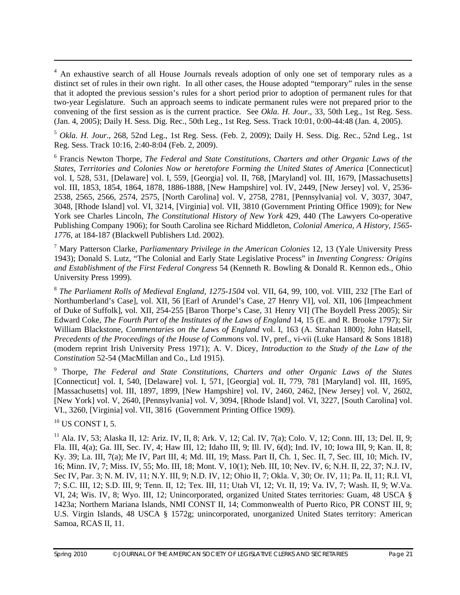<sup>4</sup> An exhaustive search of all House Journals reveals adoption of only one set of temporary rules as a distinct set of rules in their own right. In all other cases, the House adopted "temporary" rules in the sense that it adopted the previous session's rules for a short period prior to adoption of permanent rules for that two-year Legislature. Such an approach seems to indicate permanent rules were not prepared prior to the convening of the first session as is the current practice. See *Okla. H. Jour*., 33, 50th Leg., 1st Reg. Sess. (Jan. 4, 2005); Daily H. Sess. Dig. Rec., 50th Leg., 1st Reg. Sess. Track 10:01, 0:00-44:48 (Jan. 4, 2005).

<sup>5</sup> *Okla. H. Jour*., 268, 52nd Leg., 1st Reg. Sess. (Feb. 2, 2009); Daily H. Sess. Dig. Rec., 52nd Leg., 1st Reg. Sess. Track 10:16, 2:40-8:04 (Feb. 2, 2009).

6 Francis Newton Thorpe, *The Federal and State Constitutions, Charters and other Organic Laws of the States, Territories and Colonies Now or heretofore Forming the United States of America* [Connecticut] vol. I, 528, 531, [Delaware] vol. I, 559, [Georgia] vol. II, 768, [Maryland] vol. III, 1679, [Massachusetts] vol. III, 1853, 1854, 1864, 1878, 1886-1888, [New Hampshire] vol. IV, 2449, [New Jersey] vol. V, 2536- 2538, 2565, 2566, 2574, 2575, [North Carolina] vol. V, 2758, 2781, [Pennsylvania] vol. V, 3037, 3047, 3048, [Rhode Island] vol. VI, 3214, [Virginia] vol. VII, 3810 (Government Printing Office 1909); for New York see Charles Lincoln, *The Constitutional History of New York* 429, 440 (The Lawyers Co-operative Publishing Company 1906); for South Carolina see Richard Middleton, *Colonial America, A History, 1565- 1776*, at 184-187 (Blackwell Publishers Ltd. 2002).

7 Mary Patterson Clarke, *Parliamentary Privilege in the American Colonies* 12, 13 (Yale University Press 1943); Donald S. Lutz, "The Colonial and Early State Legislative Process" in *Inventing Congress: Origins and Establishment of the First Federal Congress* 54 (Kenneth R. Bowling & Donald R. Kennon eds., Ohio University Press 1999).

<sup>8</sup> *The Parliament Rolls of Medieval England, 1275-1504* vol. VII, 64, 99, 100, vol. VIII, 232 [The Earl of Northumberland's Case], vol. XII, 56 [Earl of Arundel's Case, 27 Henry VI], vol. XII, 106 [Impeachment of Duke of Suffolk], vol. XII, 254-255 [Baron Thorpe's Case, 31 Henry VI] (The Boydell Press 2005); Sir Edward Coke, *The Fourth Part of the Institutes of the Laws of England* 14, 15 (E. and R. Brooke 1797); Sir William Blackstone, *Commentaries on the Laws of England* vol. I, 163 (A. Strahan 1800); John Hatsell, *Precedents of the Proceedings of the House of Commons* vol. IV, pref., vi-vii (Luke Hansard & Sons 1818) (modern reprint Irish University Press 1971); A. V. Dicey, *Introduction to the Study of the Law of the Constitution* 52-54 (MacMillan and Co., Ltd 1915).

9 Thorpe, *The Federal and State Constitutions, Charters and other Organic Laws of the States* [Connecticut] vol. I, 540, [Delaware] vol. I, 571, [Georgia] vol. II, 779, 781 [Maryland] vol. III, 1695, [Massachusetts] vol. III, 1897, 1899, [New Hampshire] vol. IV, 2460, 2462, [New Jersey] vol. V, 2602, [New York] vol. V, 2640, [Pennsylvania] vol. V, 3094, [Rhode Island] vol. VI, 3227, [South Carolina] vol. VI., 3260, [Virginia] vol. VII, 3816 (Government Printing Office 1909).

 $10$  US CONST I, 5.

 $\overline{a}$ 

11 Ala. IV, 53; Alaska II, 12: Ariz. IV, II, 8; Ark. V, 12; Cal. IV, 7(a); Colo. V, 12; Conn. III, 13; Del. II, 9; Fla. III, 4(a); Ga. III, Sec. IV, 4; Haw III, 12; Idaho III, 9; Ill. IV, 6(d); Ind. IV, 10; Iowa III, 9; Kan. II, 8; Ky. 39; La. III, 7(a); Me IV, Part III, 4; Md. III, 19; Mass. Part II, Ch. 1, Sec. II, 7, Sec. III, 10; Mich. IV, 16; Minn. IV, 7; Miss. IV, 55; Mo. III, 18; Mont. V, 10(1); Neb. III, 10; Nev. IV, 6; N.H. II, 22, 37; N.J. IV, Sec IV, Par. 3; N. M. IV, 11; N.Y. III, 9; N.D. IV, 12; Ohio II, 7; Okla. V, 30; Or. IV, 11; Pa. II, 11; R.I. VI, 7; S.C. III, 12; S.D. III, 9; Tenn. II, 12; Tex. III, 11; Utah VI, 12; Vt. II, 19; Va. IV, 7; Wash. II, 9; W.Va. VI, 24; Wis. IV, 8; Wyo. III, 12; Unincorporated, organized United States territories: Guam, 48 USCA § 1423a; Northern Mariana Islands, NMI CONST II, 14; Commonwealth of Puerto Rico, PR CONST III, 9; U.S. Virgin Islands, 48 USCA § 1572g; unincorporated, unorganized United States territory: American Samoa, RCAS II, 11.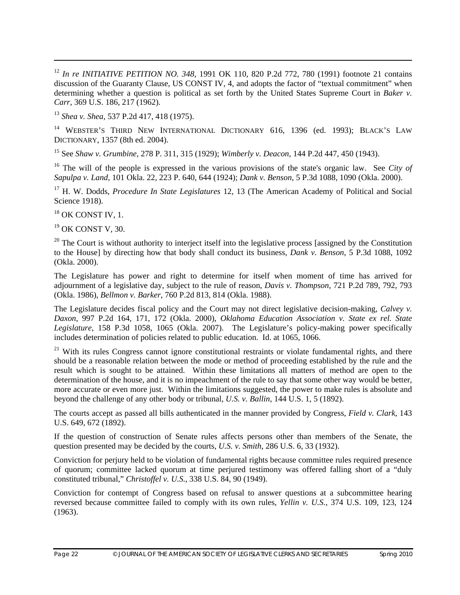<sup>12</sup> *In re INITIATIVE PETITION NO. 348*, 1991 OK 110, 820 P.2d 772, 780 (1991) footnote 21 contains discussion of the Guaranty Clause, US CONST IV, 4, and adopts the factor of "textual commitment" when determining whether a question is political as set forth by the United States Supreme Court in *Baker v. Carr*, 369 U.S. 186, 217 (1962).

<sup>13</sup> *Shea v. Shea*, 537 P.2d 417, 418 (1975).

<sup>14</sup> WEBSTER'S THIRD NEW INTERNATIONAL DICTIONARY 616, 1396 (ed. 1993); BLACK'S LAW DICTIONARY, 1357 (8th ed. 2004).

15 See *Shaw v. Grumbine*, 278 P. 311, 315 (1929); *Wimberly v. Deacon*, 144 P.2d 447, 450 (1943).

16 The will of the people is expressed in the various provisions of the state's organic law. See *City of Sapulpa v. Land*, 101 Okla. 22, 223 P. 640, 644 (1924); *Dank v. Benson*, 5 P.3d 1088, 1090 (Okla. 2000).

17 H. W. Dodds, *Procedure In State Legislatures* 12, 13 (The American Academy of Political and Social Science 1918).

 $^{18}$  OK CONST IV, 1.

 $\overline{a}$ 

 $19$  OK CONST V, 30.

 $20$  The Court is without authority to interject itself into the legislative process [assigned by the Constitution to the House] by directing how that body shall conduct its business, *Dank v. Benson*, 5 P.3d 1088, 1092 (Okla. 2000).

The Legislature has power and right to determine for itself when moment of time has arrived for adjournment of a legislative day, subject to the rule of reason, *Davis v. Thompson*, 721 P.2d 789, 792, 793 (Okla. 1986), *Bellmon v. Barker*, 760 P.2d 813, 814 (Okla. 1988).

The Legislature decides fiscal policy and the Court may not direct legislative decision-making, *Calvey v. Daxon*, 997 P.2d 164, 171, 172 (Okla. 2000), *Oklahoma Education Association v. State ex rel. State Legislature*, 158 P.3d 1058, 1065 (Okla. 2007). The Legislature's policy-making power specifically includes determination of policies related to public education. Id. at 1065, 1066.

<sup>21</sup> With its rules Congress cannot ignore constitutional restraints or violate fundamental rights, and there should be a reasonable relation between the mode or method of proceeding established by the rule and the result which is sought to be attained. Within these limitations all matters of method are open to the determination of the house, and it is no impeachment of the rule to say that some other way would be better, more accurate or even more just. Within the limitations suggested, the power to make rules is absolute and beyond the challenge of any other body or tribunal, *U.S. v. Ballin*, 144 U.S. 1, 5 (1892).

The courts accept as passed all bills authenticated in the manner provided by Congress, *Field v. Clark*, 143 U.S. 649, 672 (1892).

If the question of construction of Senate rules affects persons other than members of the Senate, the question presented may be decided by the courts, *U.S. v. Smith*, 286 U.S. 6, 33 (1932).

Conviction for perjury held to be violation of fundamental rights because committee rules required presence of quorum; committee lacked quorum at time perjured testimony was offered falling short of a "duly constituted tribunal," *Christoffel v. U.S.*, 338 U.S. 84, 90 (1949).

Conviction for contempt of Congress based on refusal to answer questions at a subcommittee hearing reversed because committee failed to comply with its own rules, *Yellin v. U.S.*, 374 U.S. 109, 123, 124 (1963).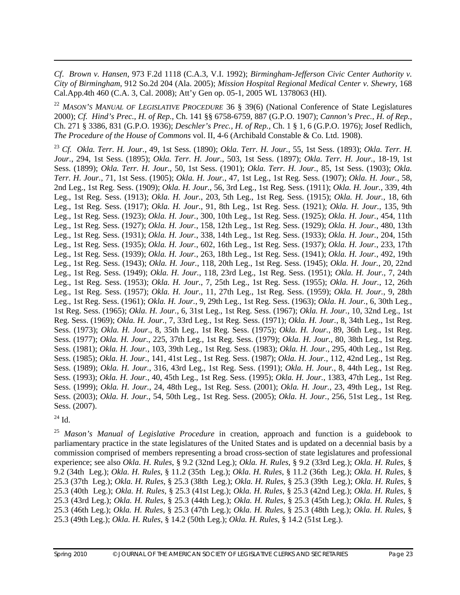*Cf*. *Brown v. Hansen*, 973 F.2d 1118 (C.A.3, V.I. 1992); *Birmingham-Jefferson Civic Center Authority v. City of Birmingham*, 912 So.2d 204 (Ala. 2005); *Mission Hospital Regional Medical Center v. Shewry*, 168 Cal.App.4th 460 (C.A. 3, Cal. 2008); Att'y Gen op. 05-1, 2005 WL 1378063 (HI).

<sup>22</sup> *MASON'S MANUAL OF LEGISLATIVE PROCEDURE* 36 § 39(6) (National Conference of State Legislatures 2000); *Cf. Hind's Prec., H. of Rep.,* Ch. 141 §§ 6758-6759, 887 (G.P.O. 1907); *Cannon's Prec., H. of Rep.,* Ch. 271 § 3386, 831 (G.P.O. 1936); *Deschler's Prec., H. of Rep.,* Ch. 1 § 1, 6 (G.P.O. 1976); Josef Redlich, *The Procedure of the House of Commons* vol. II, 4-6 (Archibald Constable & Co. Ltd. 1908).

<sup>23</sup> *Cf. Okla. Terr. H. Jour.*, 49, 1st Sess. (1890); *Okla. Terr. H. Jour.*, 55, 1st Sess. (1893); *Okla. Terr. H. Jour.*, 294, 1st Sess. (1895); *Okla. Terr. H. Jour.*, 503, 1st Sess. (1897); *Okla. Terr. H. Jour.*, 18-19, 1st Sess. (1899); *Okla. Terr. H. Jour.*, 50, 1st Sess. (1901); *Okla. Terr. H. Jour.*, 85, 1st Sess. (1903); *Okla. Terr. H. Jour.*, 71, 1st Sess. (1905); *Okla. H. Jour.*, 47, 1st Leg., 1st Reg. Sess. (1907); *Okla. H. Jour.*, 58, 2nd Leg., 1st Reg. Sess. (1909); *Okla. H. Jour.*, 56, 3rd Leg., 1st Reg. Sess. (1911); *Okla. H. Jour.*, 339, 4th Leg., 1st Reg. Sess. (1913); *Okla. H. Jour.*, 203, 5th Leg., 1st Reg. Sess. (1915); *Okla. H. Jour.*, 18, 6th Leg., 1st Reg. Sess. (1917); *Okla. H. Jour.*, 91, 8th Leg., 1st Reg. Sess. (1921); *Okla. H. Jour.*, 135, 9th Leg., 1st Reg. Sess. (1923); *Okla. H. Jour.*, 300, 10th Leg., 1st Reg. Sess. (1925); *Okla. H. Jour.*, 454, 11th Leg., 1st Reg. Sess. (1927); *Okla. H. Jour.*, 158, 12th Leg., 1st Reg. Sess. (1929); *Okla. H. Jour.*, 480, 13th Leg., 1st Reg. Sess. (1931); *Okla. H. Jour.*, 338, 14th Leg., 1st Reg. Sess. (1933); *Okla. H. Jour.*, 204, 15th Leg., 1st Reg. Sess. (1935); *Okla. H. Jour.*, 602, 16th Leg., 1st Reg. Sess. (1937); *Okla. H. Jour.*, 233, 17th Leg., 1st Reg. Sess. (1939); *Okla. H. Jour.*, 263, 18th Leg., 1st Reg. Sess. (1941); *Okla. H. Jour.*, 492, 19th Leg., 1st Reg. Sess. (1943); *Okla. H. Jour.*, 118, 20th Leg., 1st Reg. Sess. (1945); *Okla. H. Jour.*, 20, 22nd Leg., 1st Reg. Sess. (1949); *Okla. H. Jour.*, 118, 23rd Leg., 1st Reg. Sess. (1951); *Okla. H. Jour.*, 7, 24th Leg., 1st Reg. Sess. (1953); *Okla. H. Jour.*, 7, 25th Leg., 1st Reg. Sess. (1955); *Okla. H. Jour.*, 12, 26th Leg., 1st Reg. Sess. (1957); *Okla. H. Jour.*, 11, 27th Leg., 1st Reg. Sess. (1959); *Okla. H. Jour.*, 9, 28th Leg., 1st Reg. Sess. (1961); *Okla. H. Jour.*, 9, 29th Leg., 1st Reg. Sess. (1963); *Okla. H. Jour.*, 6, 30th Leg., 1st Reg. Sess. (1965); *Okla. H. Jour.*, 6, 31st Leg., 1st Reg. Sess. (1967); *Okla. H. Jour.*, 10, 32nd Leg., 1st Reg. Sess. (1969); *Okla. H. Jour.*, 7, 33rd Leg., 1st Reg. Sess. (1971); *Okla. H. Jour.*, 8, 34th Leg., 1st Reg. Sess. (1973); *Okla. H. Jour*., 8, 35th Leg., 1st Reg. Sess. (1975); *Okla. H. Jour.*, 89, 36th Leg., 1st Reg. Sess. (1977); *Okla. H. Jour.*, 225, 37th Leg., 1st Reg. Sess. (1979); *Okla. H. Jour.*, 80, 38th Leg., 1st Reg. Sess. (1981); *Okla. H. Jour.*, 103, 39th Leg., 1st Reg. Sess. (1983); *Okla. H. Jour.*, 295, 40th Leg., 1st Reg. Sess. (1985); *Okla. H. Jour.*, 141, 41st Leg., 1st Reg. Sess. (1987); *Okla. H. Jour.*, 112, 42nd Leg., 1st Reg. Sess. (1989); *Okla. H. Jour.*, 316, 43rd Leg., 1st Reg. Sess. (1991); *Okla. H. Jour.*, 8, 44th Leg., 1st Reg. Sess. (1993); *Okla. H. Jour.*, 40, 45th Leg., 1st Reg. Sess. (1995); *Okla. H. Jour.*, 1383, 47th Leg., 1st Reg. Sess. (1999); *Okla. H. Jour.*, 24, 48th Leg., 1st Reg. Sess. (2001); *Okla. H. Jour.*, 23, 49th Leg., 1st Reg. Sess. (2003); *Okla. H. Jour.*, 54, 50th Leg., 1st Reg. Sess. (2005); *Okla. H. Jour.*, 256, 51st Leg., 1st Reg. Sess. (2007).

### $24$  Id.

 $\overline{a}$ 

<sup>25</sup> *Mason's Manual of Legislative Procedure* in creation, approach and function is a guidebook to parliamentary practice in the state legislatures of the United States and is updated on a decennial basis by a commission comprised of members representing a broad cross-section of state legislatures and professional experience; see also *Okla. H. Rules*, § 9.2 (32nd Leg.); *Okla. H. Rules*, § 9.2 (33rd Leg.); *Okla. H. Rules*, § 9.2 (34th Leg.); *Okla. H. Rules*, § 11.2 (35th Leg.); *Okla. H. Rules*, § 11.2 (36th Leg.); *Okla. H. Rules*, § 25.3 (37th Leg.); *Okla. H. Rules*, § 25.3 (38th Leg.); *Okla. H. Rules*, § 25.3 (39th Leg.); *Okla. H. Rules*, § 25.3 (40th Leg.); *Okla. H. Rules*, § 25.3 (41st Leg.); *Okla. H. Rules*, § 25.3 (42nd Leg.); *Okla. H. Rules*, § 25.3 (43rd Leg.); *Okla. H. Rules*, § 25.3 (44th Leg.); *Okla. H. Rules*, § 25.3 (45th Leg.); *Okla. H. Rules*, § 25.3 (46th Leg.); *Okla. H. Rules*, § 25.3 (47th Leg.); *Okla. H. Rules*, § 25.3 (48th Leg.); *Okla. H. Rules*, § 25.3 (49th Leg.); *Okla. H. Rules*, § 14.2 (50th Leg.); *Okla. H. Rules*, § 14.2 (51st Leg.).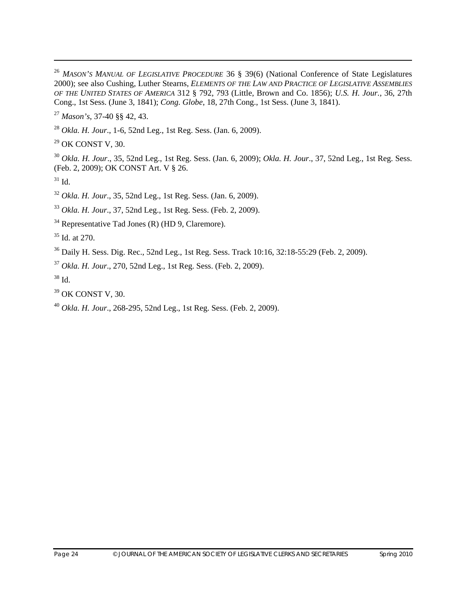<sup>26</sup> *MASON'S MANUAL OF LEGISLATIVE PROCEDURE* 36 § 39(6) (National Conference of State Legislatures 2000); see also Cushing, Luther Stearns, *ELEMENTS OF THE LAW AND PRACTICE OF LEGISLATIVE ASSEMBLIES OF THE UNITED STATES OF AMERICA* 312 § 792, 793 (Little, Brown and Co. 1856); *U.S. H. Jour.,* 36, 27th Cong., 1st Sess. (June 3, 1841); *Cong. Globe*, 18, 27th Cong., 1st Sess. (June 3, 1841).

<sup>27</sup> *Mason's*, 37-40 §§ 42, 43.

<sup>28</sup> *Okla. H. Jour*., 1-6, 52nd Leg., 1st Reg. Sess. (Jan. 6, 2009).

 $29$  OK CONST V, 30.

<sup>30</sup> *Okla. H. Jour*., 35, 52nd Leg., 1st Reg. Sess. (Jan. 6, 2009); *Okla. H. Jour*., 37, 52nd Leg., 1st Reg. Sess. (Feb. 2, 2009); OK CONST Art. V § 26.

31 Id.

 $\overline{a}$ 

<sup>32</sup> *Okla. H. Jour*., 35, 52nd Leg., 1st Reg. Sess. (Jan. 6, 2009).

<sup>33</sup> *Okla. H. Jour*., 37, 52nd Leg., 1st Reg. Sess. (Feb. 2, 2009).

 $34$  Representative Tad Jones (R) (HD 9, Claremore).

35 Id. at 270.

36 Daily H. Sess. Dig. Rec., 52nd Leg., 1st Reg. Sess. Track 10:16, 32:18-55:29 (Feb. 2, 2009).

<sup>37</sup> *Okla. H. Jour*., 270, 52nd Leg., 1st Reg. Sess. (Feb. 2, 2009).

 $38$  Id.

39 OK CONST V, 30.

<sup>40</sup> *Okla. H. Jour*., 268-295, 52nd Leg., 1st Reg. Sess. (Feb. 2, 2009).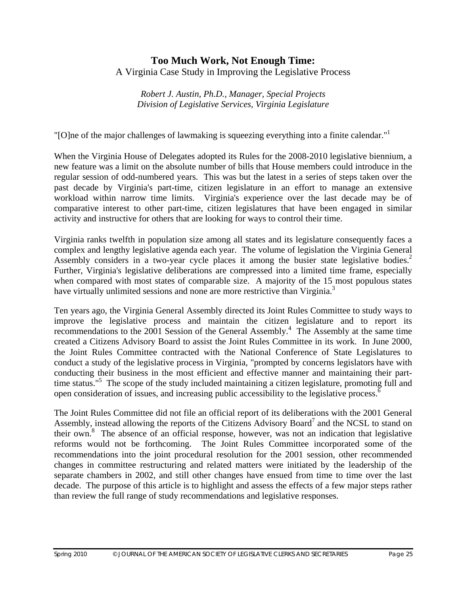## **Too Much Work, Not Enough Time:**

A Virginia Case Study in Improving the Legislative Process

*Robert J. Austin, Ph.D., Manager, Special Projects Division of Legislative Services, Virginia Legislature* 

"[O]ne of the major challenges of lawmaking is squeezing everything into a finite calendar."1

When the Virginia House of Delegates adopted its Rules for the 2008-2010 legislative biennium, a new feature was a limit on the absolute number of bills that House members could introduce in the regular session of odd-numbered years. This was but the latest in a series of steps taken over the past decade by Virginia's part-time, citizen legislature in an effort to manage an extensive workload within narrow time limits. Virginia's experience over the last decade may be of comparative interest to other part-time, citizen legislatures that have been engaged in similar activity and instructive for others that are looking for ways to control their time.

Virginia ranks twelfth in population size among all states and its legislature consequently faces a complex and lengthy legislative agenda each year. The volume of legislation the Virginia General Assembly considers in a two-year cycle places it among the busier state legislative bodies.<sup>2</sup> Further, Virginia's legislative deliberations are compressed into a limited time frame, especially when compared with most states of comparable size. A majority of the 15 most populous states have virtually unlimited sessions and none are more restrictive than Virginia.<sup>3</sup>

Ten years ago, the Virginia General Assembly directed its Joint Rules Committee to study ways to improve the legislative process and maintain the citizen legislature and to report its recommendations to the 2001 Session of the General Assembly.<sup>4</sup> The Assembly at the same time created a Citizens Advisory Board to assist the Joint Rules Committee in its work. In June 2000, the Joint Rules Committee contracted with the National Conference of State Legislatures to conduct a study of the legislative process in Virginia, "prompted by concerns legislators have with conducting their business in the most efficient and effective manner and maintaining their parttime status."<sup>5</sup> The scope of the study included maintaining a citizen legislature, promoting full and open consideration of issues, and increasing public accessibility to the legislative process.<sup>6</sup>

The Joint Rules Committee did not file an official report of its deliberations with the 2001 General Assembly, instead allowing the reports of the Citizens Advisory Board<sup>7</sup> and the NCSL to stand on their own.8 The absence of an official response, however, was not an indication that legislative reforms would not be forthcoming. The Joint Rules Committee incorporated some of the recommendations into the joint procedural resolution for the 2001 session, other recommended changes in committee restructuring and related matters were initiated by the leadership of the separate chambers in 2002, and still other changes have ensued from time to time over the last decade. The purpose of this article is to highlight and assess the effects of a few major steps rather than review the full range of study recommendations and legislative responses.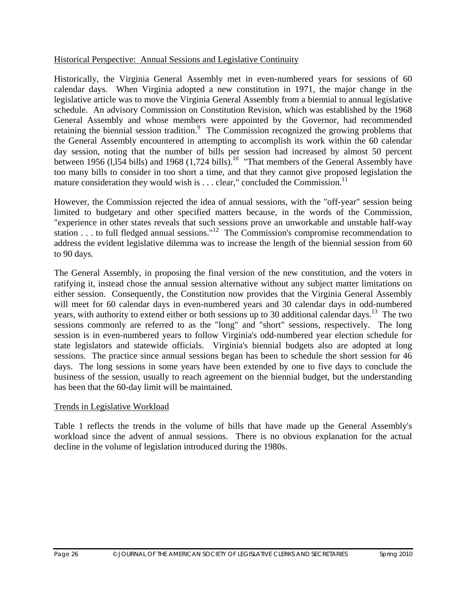#### Historical Perspective: Annual Sessions and Legislative Continuity

Historically, the Virginia General Assembly met in even-numbered years for sessions of 60 calendar days. When Virginia adopted a new constitution in 1971, the major change in the legislative article was to move the Virginia General Assembly from a biennial to annual legislative schedule. An advisory Commission on Constitution Revision, which was established by the 1968 General Assembly and whose members were appointed by the Governor, had recommended retaining the biennial session tradition.<sup>9</sup> The Commission recognized the growing problems that the General Assembly encountered in attempting to accomplish its work within the 60 calendar day session, noting that the number of bills per session had increased by almost 50 percent between 1956 (1,154 bills) and 1968 (1,724 bills).<sup>10</sup> "That members of the General Assembly have too many bills to consider in too short a time, and that they cannot give proposed legislation the mature consideration they would wish is  $\dots$  clear," concluded the Commission.<sup>11</sup>

However, the Commission rejected the idea of annual sessions, with the "off-year" session being limited to budgetary and other specified matters because, in the words of the Commission, "experience in other states reveals that such sessions prove an unworkable and unstable half-way station . . . to full fledged annual sessions."12 The Commission's compromise recommendation to address the evident legislative dilemma was to increase the length of the biennial session from 60 to 90 days.

The General Assembly, in proposing the final version of the new constitution, and the voters in ratifying it, instead chose the annual session alternative without any subject matter limitations on either session. Consequently, the Constitution now provides that the Virginia General Assembly will meet for 60 calendar days in even-numbered years and 30 calendar days in odd-numbered years, with authority to extend either or both sessions up to 30 additional calendar days.<sup>13</sup> The two sessions commonly are referred to as the "long" and "short" sessions, respectively. The long session is in even-numbered years to follow Virginia's odd-numbered year election schedule for state legislators and statewide officials. Virginia's biennial budgets also are adopted at long sessions. The practice since annual sessions began has been to schedule the short session for 46 days. The long sessions in some years have been extended by one to five days to conclude the business of the session, usually to reach agreement on the biennial budget, but the understanding has been that the 60-day limit will be maintained.

## Trends in Legislative Workload

Table 1 reflects the trends in the volume of bills that have made up the General Assembly's workload since the advent of annual sessions. There is no obvious explanation for the actual decline in the volume of legislation introduced during the 1980s.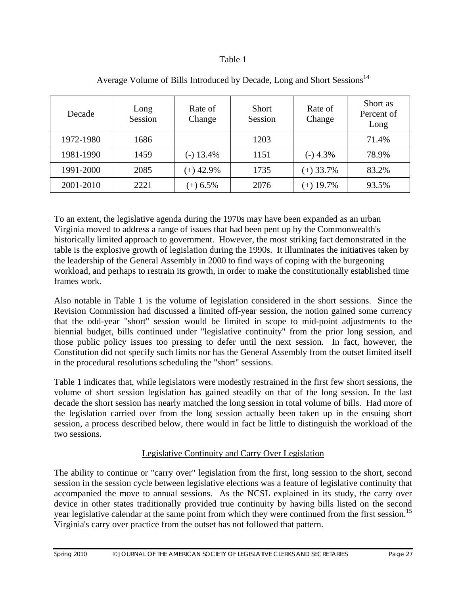#### Table 1

| Decade    | Long<br>Session | Rate of<br>Change | <b>Short</b><br>Session | Rate of<br>Change | Short as<br>Percent of<br>Long |
|-----------|-----------------|-------------------|-------------------------|-------------------|--------------------------------|
| 1972-1980 | 1686            |                   | 1203                    |                   | 71.4%                          |
| 1981-1990 | 1459            | $(-)$ 13.4%       | 1151                    | $(-)$ 4.3%        | 78.9%                          |
| 1991-2000 | 2085            | $(+)$ 42.9%       | 1735                    | $(+)$ 33.7%       | 83.2%                          |
| 2001-2010 | 2221            | $(+) 6.5\%$       | 2076                    | $(+)$ 19.7%       | 93.5%                          |

Average Volume of Bills Introduced by Decade, Long and Short Sessions<sup>14</sup>

To an extent, the legislative agenda during the 1970s may have been expanded as an urban Virginia moved to address a range of issues that had been pent up by the Commonwealth's historically limited approach to government. However, the most striking fact demonstrated in the table is the explosive growth of legislation during the 1990s. It illuminates the initiatives taken by the leadership of the General Assembly in 2000 to find ways of coping with the burgeoning workload, and perhaps to restrain its growth, in order to make the constitutionally established time frames work.

Also notable in Table 1 is the volume of legislation considered in the short sessions. Since the Revision Commission had discussed a limited off-year session, the notion gained some currency that the odd-year "short" session would be limited in scope to mid-point adjustments to the biennial budget, bills continued under "legislative continuity" from the prior long session, and those public policy issues too pressing to defer until the next session. In fact, however, the Constitution did not specify such limits nor has the General Assembly from the outset limited itself in the procedural resolutions scheduling the "short" sessions.

Table 1 indicates that, while legislators were modestly restrained in the first few short sessions, the volume of short session legislation has gained steadily on that of the long session. In the last decade the short session has nearly matched the long session in total volume of bills. Had more of the legislation carried over from the long session actually been taken up in the ensuing short session, a process described below, there would in fact be little to distinguish the workload of the two sessions.

## Legislative Continuity and Carry Over Legislation

The ability to continue or "carry over" legislation from the first, long session to the short, second session in the session cycle between legislative elections was a feature of legislative continuity that accompanied the move to annual sessions. As the NCSL explained in its study, the carry over device in other states traditionally provided true continuity by having bills listed on the second year legislative calendar at the same point from which they were continued from the first session.<sup>15</sup> Virginia's carry over practice from the outset has not followed that pattern.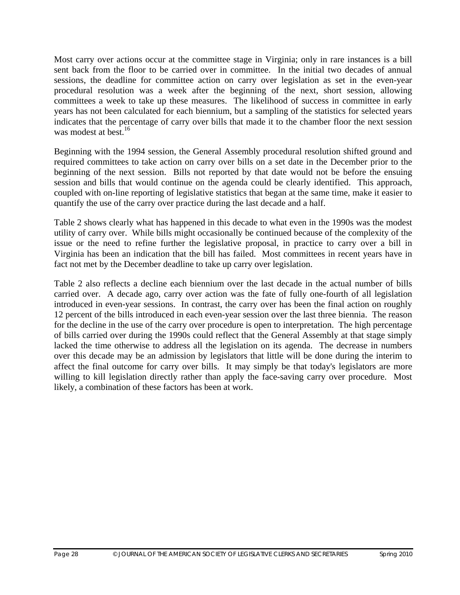Most carry over actions occur at the committee stage in Virginia; only in rare instances is a bill sent back from the floor to be carried over in committee. In the initial two decades of annual sessions, the deadline for committee action on carry over legislation as set in the even-year procedural resolution was a week after the beginning of the next, short session, allowing committees a week to take up these measures. The likelihood of success in committee in early years has not been calculated for each biennium, but a sampling of the statistics for selected years indicates that the percentage of carry over bills that made it to the chamber floor the next session was modest at best.<sup>16</sup>

Beginning with the 1994 session, the General Assembly procedural resolution shifted ground and required committees to take action on carry over bills on a set date in the December prior to the beginning of the next session. Bills not reported by that date would not be before the ensuing session and bills that would continue on the agenda could be clearly identified. This approach, coupled with on-line reporting of legislative statistics that began at the same time, make it easier to quantify the use of the carry over practice during the last decade and a half.

Table 2 shows clearly what has happened in this decade to what even in the 1990s was the modest utility of carry over. While bills might occasionally be continued because of the complexity of the issue or the need to refine further the legislative proposal, in practice to carry over a bill in Virginia has been an indication that the bill has failed. Most committees in recent years have in fact not met by the December deadline to take up carry over legislation.

Table 2 also reflects a decline each biennium over the last decade in the actual number of bills carried over. A decade ago, carry over action was the fate of fully one-fourth of all legislation introduced in even-year sessions. In contrast, the carry over has been the final action on roughly 12 percent of the bills introduced in each even-year session over the last three biennia. The reason for the decline in the use of the carry over procedure is open to interpretation. The high percentage of bills carried over during the 1990s could reflect that the General Assembly at that stage simply lacked the time otherwise to address all the legislation on its agenda. The decrease in numbers over this decade may be an admission by legislators that little will be done during the interim to affect the final outcome for carry over bills. It may simply be that today's legislators are more willing to kill legislation directly rather than apply the face-saving carry over procedure. Most likely, a combination of these factors has been at work.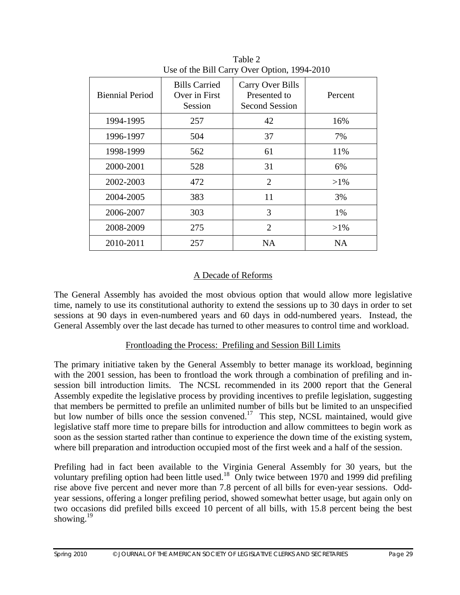| <b>Biennial Period</b> | <b>Bills Carried</b><br>Over in First<br>Session | <b>Carry Over Bills</b><br>Presented to<br><b>Second Session</b> | Percent   |
|------------------------|--------------------------------------------------|------------------------------------------------------------------|-----------|
| 1994-1995              | 257                                              | 42                                                               | 16%       |
| 1996-1997              | 504                                              | 37                                                               | 7%        |
| 1998-1999              | 562                                              | 61                                                               | 11%       |
| 2000-2001              | 528                                              | 31                                                               | 6%        |
| 2002-2003              | 472                                              | $\overline{2}$                                                   | $>1\%$    |
| 2004-2005              | 383                                              | 11                                                               | 3%        |
| 2006-2007              | 303                                              | 3                                                                | 1%        |
| 2008-2009              | 275                                              | $\overline{2}$                                                   | $>1\%$    |
| 2010-2011              | 257                                              | <b>NA</b>                                                        | <b>NA</b> |

Table 2 Use of the Bill Carry Over Option, 1994-2010

## A Decade of Reforms

The General Assembly has avoided the most obvious option that would allow more legislative time, namely to use its constitutional authority to extend the sessions up to 30 days in order to set sessions at 90 days in even-numbered years and 60 days in odd-numbered years. Instead, the General Assembly over the last decade has turned to other measures to control time and workload.

## Frontloading the Process: Prefiling and Session Bill Limits

The primary initiative taken by the General Assembly to better manage its workload, beginning with the 2001 session, has been to frontload the work through a combination of prefiling and insession bill introduction limits. The NCSL recommended in its 2000 report that the General Assembly expedite the legislative process by providing incentives to prefile legislation, suggesting that members be permitted to prefile an unlimited number of bills but be limited to an unspecified but low number of bills once the session convened.<sup>17</sup> This step, NCSL maintained, would give legislative staff more time to prepare bills for introduction and allow committees to begin work as soon as the session started rather than continue to experience the down time of the existing system, where bill preparation and introduction occupied most of the first week and a half of the session.

Prefiling had in fact been available to the Virginia General Assembly for 30 years, but the voluntary prefiling option had been little used.<sup>18</sup> Only twice between 1970 and 1999 did prefiling rise above five percent and never more than 7.8 percent of all bills for even-year sessions. Oddyear sessions, offering a longer prefiling period, showed somewhat better usage, but again only on two occasions did prefiled bills exceed 10 percent of all bills, with 15.8 percent being the best showing. $^{19}$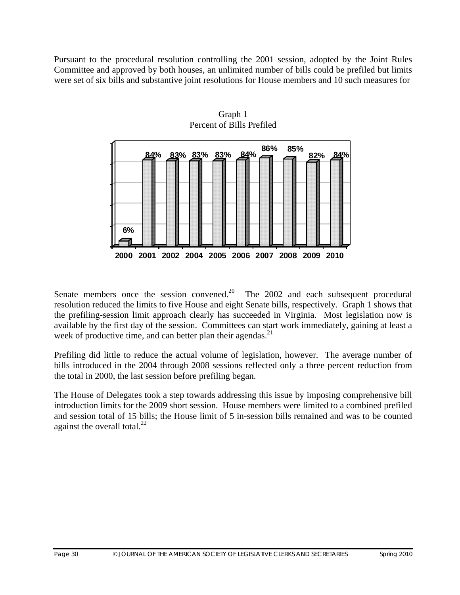Pursuant to the procedural resolution controlling the 2001 session, adopted by the Joint Rules Committee and approved by both houses, an unlimited number of bills could be prefiled but limits were set of six bills and substantive joint resolutions for House members and 10 such measures for



Senate members once the session convened.<sup>20</sup> The 2002 and each subsequent procedural resolution reduced the limits to five House and eight Senate bills, respectively. Graph 1 shows that the prefiling-session limit approach clearly has succeeded in Virginia. Most legislation now is available by the first day of the session. Committees can start work immediately, gaining at least a week of productive time, and can better plan their agendas. $21$ 

Prefiling did little to reduce the actual volume of legislation, however. The average number of bills introduced in the 2004 through 2008 sessions reflected only a three percent reduction from the total in 2000, the last session before prefiling began.

The House of Delegates took a step towards addressing this issue by imposing comprehensive bill introduction limits for the 2009 short session. House members were limited to a combined prefiled and session total of 15 bills; the House limit of 5 in-session bills remained and was to be counted against the overall total. $^{22}$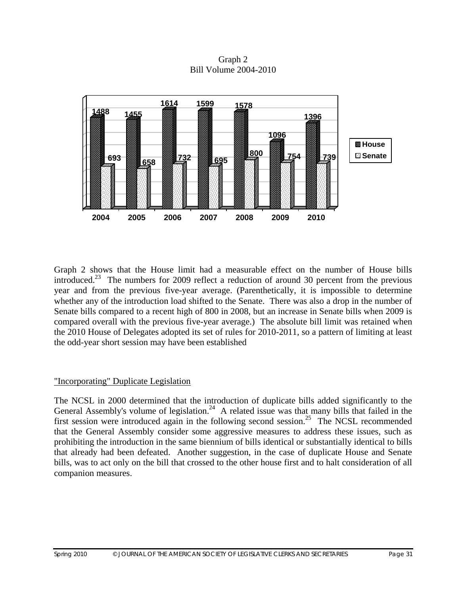Graph 2 Bill Volume 2004-2010



Graph 2 shows that the House limit had a measurable effect on the number of House bills introduced.23 The numbers for 2009 reflect a reduction of around 30 percent from the previous year and from the previous five-year average. (Parenthetically, it is impossible to determine whether any of the introduction load shifted to the Senate. There was also a drop in the number of Senate bills compared to a recent high of 800 in 2008, but an increase in Senate bills when 2009 is compared overall with the previous five-year average.) The absolute bill limit was retained when the 2010 House of Delegates adopted its set of rules for 2010-2011, so a pattern of limiting at least the odd-year short session may have been established

#### "Incorporating" Duplicate Legislation

The NCSL in 2000 determined that the introduction of duplicate bills added significantly to the General Assembly's volume of legislation.<sup>24</sup> A related issue was that many bills that failed in the first session were introduced again in the following second session.<sup>25</sup> The NCSL recommended that the General Assembly consider some aggressive measures to address these issues, such as prohibiting the introduction in the same biennium of bills identical or substantially identical to bills that already had been defeated. Another suggestion, in the case of duplicate House and Senate bills, was to act only on the bill that crossed to the other house first and to halt consideration of all companion measures.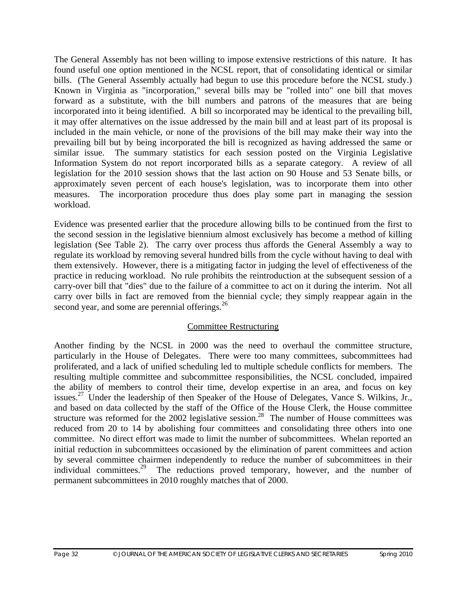The General Assembly has not been willing to impose extensive restrictions of this nature. It has found useful one option mentioned in the NCSL report, that of consolidating identical or similar bills. (The General Assembly actually had begun to use this procedure before the NCSL study.) Known in Virginia as "incorporation," several bills may be "rolled into" one bill that moves forward as a substitute, with the bill numbers and patrons of the measures that are being incorporated into it being identified. A bill so incorporated may be identical to the prevailing bill, it may offer alternatives on the issue addressed by the main bill and at least part of its proposal is included in the main vehicle, or none of the provisions of the bill may make their way into the prevailing bill but by being incorporated the bill is recognized as having addressed the same or similar issue. The summary statistics for each session posted on the Virginia Legislative Information System do not report incorporated bills as a separate category. A review of all legislation for the 2010 session shows that the last action on 90 House and 53 Senate bills, or approximately seven percent of each house's legislation, was to incorporate them into other measures. The incorporation procedure thus does play some part in managing the session workload.

Evidence was presented earlier that the procedure allowing bills to be continued from the first to the second session in the legislative biennium almost exclusively has become a method of killing legislation (See Table 2). The carry over process thus affords the General Assembly a way to regulate its workload by removing several hundred bills from the cycle without having to deal with them extensively. However, there is a mitigating factor in judging the level of effectiveness of the practice in reducing workload. No rule prohibits the reintroduction at the subsequent session of a carry-over bill that "dies" due to the failure of a committee to act on it during the interim. Not all carry over bills in fact are removed from the biennial cycle; they simply reappear again in the second year, and some are perennial offerings.<sup>26</sup>

#### Committee Restructuring

Another finding by the NCSL in 2000 was the need to overhaul the committee structure, particularly in the House of Delegates. There were too many committees, subcommittees had proliferated, and a lack of unified scheduling led to multiple schedule conflicts for members. The resulting multiple committee and subcommittee responsibilities, the NCSL concluded, impaired the ability of members to control their time, develop expertise in an area, and focus on key issues.<sup>27</sup> Under the leadership of then Speaker of the House of Delegates, Vance S. Wilkins, Jr., and based on data collected by the staff of the Office of the House Clerk, the House committee structure was reformed for the  $2002$  legislative session.<sup>28</sup> The number of House committees was reduced from 20 to 14 by abolishing four committees and consolidating three others into one committee. No direct effort was made to limit the number of subcommittees. Whelan reported an initial reduction in subcommittees occasioned by the elimination of parent committees and action by several committee chairmen independently to reduce the number of subcommittees in their individual committees.29 The reductions proved temporary, however, and the number of permanent subcommittees in 2010 roughly matches that of 2000.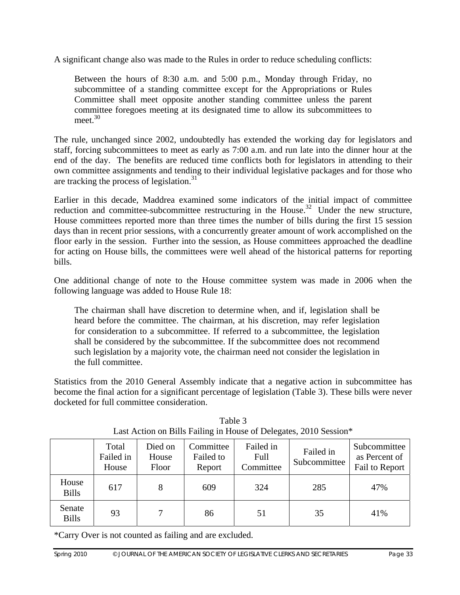A significant change also was made to the Rules in order to reduce scheduling conflicts:

Between the hours of 8:30 a.m. and 5:00 p.m., Monday through Friday, no subcommittee of a standing committee except for the Appropriations or Rules Committee shall meet opposite another standing committee unless the parent committee foregoes meeting at its designated time to allow its subcommittees to meet.<sup>30</sup>

The rule, unchanged since 2002, undoubtedly has extended the working day for legislators and staff, forcing subcommittees to meet as early as 7:00 a.m. and run late into the dinner hour at the end of the day. The benefits are reduced time conflicts both for legislators in attending to their own committee assignments and tending to their individual legislative packages and for those who are tracking the process of legislation.<sup>31</sup>

Earlier in this decade, Maddrea examined some indicators of the initial impact of committee reduction and committee-subcommittee restructuring in the House.<sup>32</sup> Under the new structure, House committees reported more than three times the number of bills during the first 15 session days than in recent prior sessions, with a concurrently greater amount of work accomplished on the floor early in the session. Further into the session, as House committees approached the deadline for acting on House bills, the committees were well ahead of the historical patterns for reporting bills.

One additional change of note to the House committee system was made in 2006 when the following language was added to House Rule 18:

The chairman shall have discretion to determine when, and if, legislation shall be heard before the committee. The chairman, at his discretion, may refer legislation for consideration to a subcommittee. If referred to a subcommittee, the legislation shall be considered by the subcommittee. If the subcommittee does not recommend such legislation by a majority vote, the chairman need not consider the legislation in the full committee.

Statistics from the 2010 General Assembly indicate that a negative action in subcommittee has become the final action for a significant percentage of legislation (Table 3). These bills were never docketed for full committee consideration.

|                        | Total<br>Failed in<br>House | Died on<br>House<br>Floor | Committee<br>Failed to<br>Report | Failed in<br>Full<br>Committee | Failed in<br>Subcommittee | Subcommittee<br>as Percent of<br>Fail to Report |
|------------------------|-----------------------------|---------------------------|----------------------------------|--------------------------------|---------------------------|-------------------------------------------------|
| House<br><b>Bills</b>  | 617                         | 8                         | 609                              | 324                            | 285                       | 47%                                             |
| Senate<br><b>Bills</b> | 93                          |                           | 86                               | 51                             | 35                        | 41%                                             |

Table 3 Last Action on Bills Failing in House of Delegates, 2010 Session\*

\*Carry Over is not counted as failing and are excluded.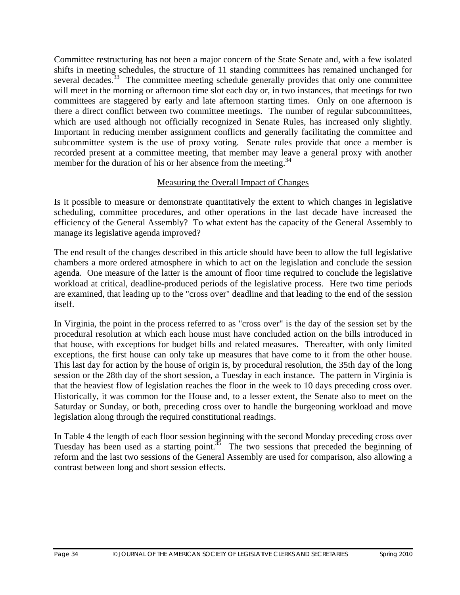Committee restructuring has not been a major concern of the State Senate and, with a few isolated shifts in meeting schedules, the structure of 11 standing committees has remained unchanged for several decades.<sup>33</sup> The committee meeting schedule generally provides that only one committee will meet in the morning or afternoon time slot each day or, in two instances, that meetings for two committees are staggered by early and late afternoon starting times. Only on one afternoon is there a direct conflict between two committee meetings. The number of regular subcommittees, which are used although not officially recognized in Senate Rules, has increased only slightly. Important in reducing member assignment conflicts and generally facilitating the committee and subcommittee system is the use of proxy voting. Senate rules provide that once a member is recorded present at a committee meeting, that member may leave a general proxy with another member for the duration of his or her absence from the meeting.<sup>34</sup>

## Measuring the Overall Impact of Changes

Is it possible to measure or demonstrate quantitatively the extent to which changes in legislative scheduling, committee procedures, and other operations in the last decade have increased the efficiency of the General Assembly? To what extent has the capacity of the General Assembly to manage its legislative agenda improved?

The end result of the changes described in this article should have been to allow the full legislative chambers a more ordered atmosphere in which to act on the legislation and conclude the session agenda. One measure of the latter is the amount of floor time required to conclude the legislative workload at critical, deadline-produced periods of the legislative process. Here two time periods are examined, that leading up to the "cross over" deadline and that leading to the end of the session itself.

In Virginia, the point in the process referred to as "cross over" is the day of the session set by the procedural resolution at which each house must have concluded action on the bills introduced in that house, with exceptions for budget bills and related measures. Thereafter, with only limited exceptions, the first house can only take up measures that have come to it from the other house. This last day for action by the house of origin is, by procedural resolution, the 35th day of the long session or the 28th day of the short session, a Tuesday in each instance. The pattern in Virginia is that the heaviest flow of legislation reaches the floor in the week to 10 days preceding cross over. Historically, it was common for the House and, to a lesser extent, the Senate also to meet on the Saturday or Sunday, or both, preceding cross over to handle the burgeoning workload and move legislation along through the required constitutional readings.

In Table 4 the length of each floor session beginning with the second Monday preceding cross over Tuesday has been used as a starting point.<sup>35</sup> The two sessions that preceded the beginning of reform and the last two sessions of the General Assembly are used for comparison, also allowing a contrast between long and short session effects.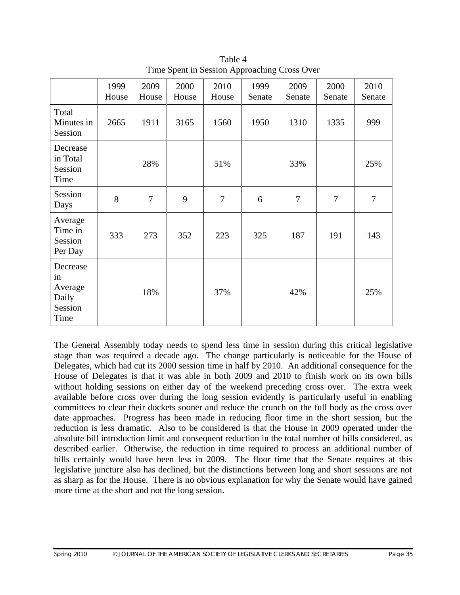|                                                       | 1999<br>House | 2009<br>House  | 2000<br>House | 2010<br>House  | 1999<br>Senate | 2009<br>Senate | 2000<br>Senate | 2010<br>Senate |
|-------------------------------------------------------|---------------|----------------|---------------|----------------|----------------|----------------|----------------|----------------|
| Total<br>Minutes in<br>Session                        | 2665          | 1911           | 3165          | 1560           | 1950           | 1310           | 1335           | 999            |
| Decrease<br>in Total<br>Session<br>Time               |               | 28%            |               | 51%            |                | 33%            |                | 25%            |
| Session<br>Days                                       | 8             | $\overline{7}$ | 9             | $\overline{7}$ | 6              | $\overline{7}$ | $\overline{7}$ | $\overline{7}$ |
| Average<br>Time in<br>Session<br>Per Day              | 333           | 273            | 352           | 223            | 325            | 187            | 191            | 143            |
| Decrease<br>in<br>Average<br>Daily<br>Session<br>Time |               | 18%            |               | 37%            |                | 42%            |                | 25%            |

Table 4 Time Spent in Session Approaching Cross Over

The General Assembly today needs to spend less time in session during this critical legislative stage than was required a decade ago. The change particularly is noticeable for the House of Delegates, which had cut its 2000 session time in half by 2010. An additional consequence for the House of Delegates is that it was able in both 2009 and 2010 to finish work on its own bills without holding sessions on either day of the weekend preceding cross over. The extra week available before cross over during the long session evidently is particularly useful in enabling committees to clear their dockets sooner and reduce the crunch on the full body as the cross over date approaches. Progress has been made in reducing floor time in the short session, but the reduction is less dramatic. Also to be considered is that the House in 2009 operated under the absolute bill introduction limit and consequent reduction in the total number of bills considered, as described earlier. Otherwise, the reduction in time required to process an additional number of bills certainly would have been less in 2009. The floor time that the Senate requires at this legislative juncture also has declined, but the distinctions between long and short sessions are not as sharp as for the House. There is no obvious explanation for why the Senate would have gained more time at the short and not the long session.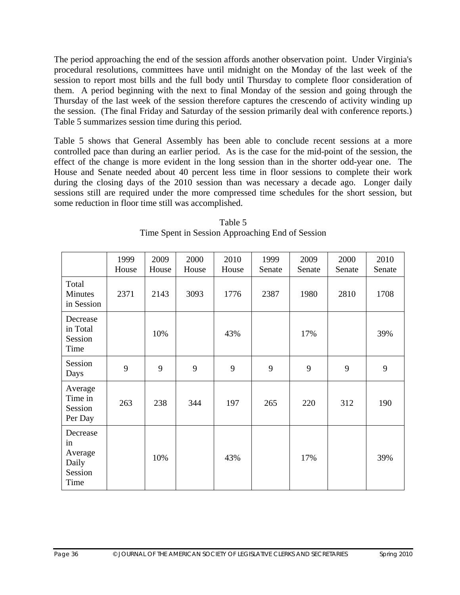The period approaching the end of the session affords another observation point. Under Virginia's procedural resolutions, committees have until midnight on the Monday of the last week of the session to report most bills and the full body until Thursday to complete floor consideration of them. A period beginning with the next to final Monday of the session and going through the Thursday of the last week of the session therefore captures the crescendo of activity winding up the session. (The final Friday and Saturday of the session primarily deal with conference reports.) Table 5 summarizes session time during this period.

Table 5 shows that General Assembly has been able to conclude recent sessions at a more controlled pace than during an earlier period. As is the case for the mid-point of the session, the effect of the change is more evident in the long session than in the shorter odd-year one. The House and Senate needed about 40 percent less time in floor sessions to complete their work during the closing days of the 2010 session than was necessary a decade ago. Longer daily sessions still are required under the more compressed time schedules for the short session, but some reduction in floor time still was accomplished.

|                                                       | 1999<br>House | 2009<br>House | 2000<br>House | 2010<br>House | 1999<br>Senate | 2009<br>Senate | 2000<br>Senate | 2010<br>Senate |
|-------------------------------------------------------|---------------|---------------|---------------|---------------|----------------|----------------|----------------|----------------|
| Total<br><b>Minutes</b><br>in Session                 | 2371          | 2143          | 3093          | 1776          | 2387           | 1980           | 2810           | 1708           |
| Decrease<br>in Total<br>Session<br>Time               |               | 10%           |               | 43%           |                | 17%            |                | 39%            |
| Session<br>Days                                       | 9             | 9             | 9             | 9             | 9              | 9              | 9              | 9              |
| Average<br>Time in<br>Session<br>Per Day              | 263           | 238           | 344           | 197           | 265            | 220            | 312            | 190            |
| Decrease<br>in<br>Average<br>Daily<br>Session<br>Time |               | 10%           |               | 43%           |                | 17%            |                | 39%            |

Table 5 Time Spent in Session Approaching End of Session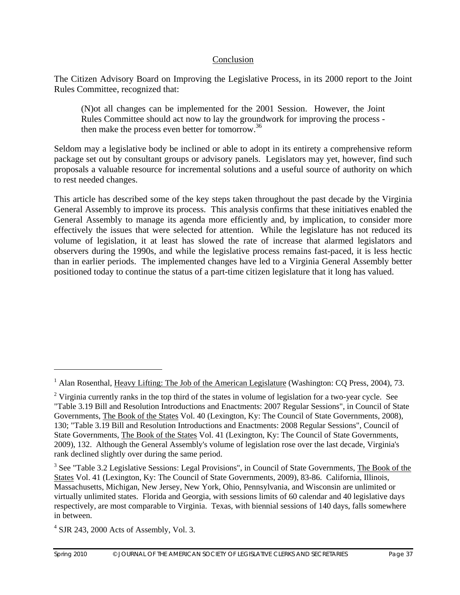#### Conclusion

The Citizen Advisory Board on Improving the Legislative Process, in its 2000 report to the Joint Rules Committee, recognized that:

(N)ot all changes can be implemented for the 2001 Session. However, the Joint Rules Committee should act now to lay the groundwork for improving the process then make the process even better for tomorrow.36

Seldom may a legislative body be inclined or able to adopt in its entirety a comprehensive reform package set out by consultant groups or advisory panels. Legislators may yet, however, find such proposals a valuable resource for incremental solutions and a useful source of authority on which to rest needed changes.

This article has described some of the key steps taken throughout the past decade by the Virginia General Assembly to improve its process. This analysis confirms that these initiatives enabled the General Assembly to manage its agenda more efficiently and, by implication, to consider more effectively the issues that were selected for attention. While the legislature has not reduced its volume of legislation, it at least has slowed the rate of increase that alarmed legislators and observers during the 1990s, and while the legislative process remains fast-paced, it is less hectic than in earlier periods. The implemented changes have led to a Virginia General Assembly better positioned today to continue the status of a part-time citizen legislature that it long has valued.

 $\overline{a}$ 

<sup>&</sup>lt;sup>1</sup> Alan Rosenthal, Heavy Lifting: The Job of the American Legislature (Washington: CQ Press, 2004), 73.

<sup>&</sup>lt;sup>2</sup> Virginia currently ranks in the top third of the states in volume of legislation for a two-year cycle. See "Table 3.19 Bill and Resolution Introductions and Enactments: 2007 Regular Sessions", in Council of State Governments, The Book of the States Vol. 40 (Lexington, Ky: The Council of State Governments, 2008), 130; "Table 3.19 Bill and Resolution Introductions and Enactments: 2008 Regular Sessions", Council of State Governments, The Book of the States Vol. 41 (Lexington, Ky: The Council of State Governments, 2009), 132. Although the General Assembly's volume of legislation rose over the last decade, Virginia's rank declined slightly over during the same period.

 $3$  See "Table 3.2 Legislative Sessions: Legal Provisions", in Council of State Governments, The Book of the States Vol. 41 (Lexington, Ky: The Council of State Governments, 2009), 83-86. California, Illinois, Massachusetts, Michigan, New Jersey, New York, Ohio, Pennsylvania, and Wisconsin are unlimited or virtually unlimited states. Florida and Georgia, with sessions limits of 60 calendar and 40 legislative days respectively, are most comparable to Virginia. Texas, with biennial sessions of 140 days, falls somewhere in between.

 $4$  SJR 243, 2000 Acts of Assembly, Vol. 3.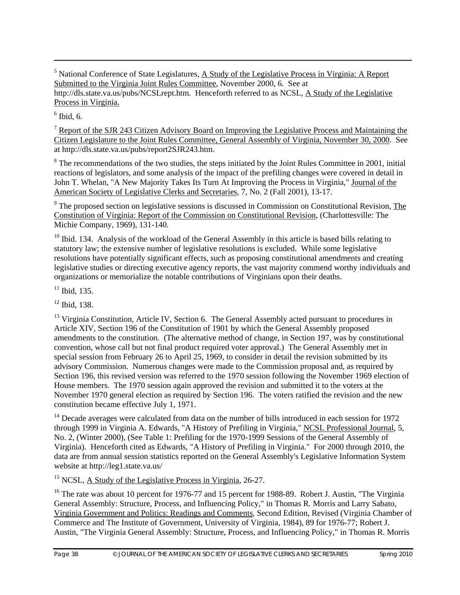<sup>5</sup> National Conference of State Legislatures, A Study of the Legislative Process in Virginia: A Report Submitted to the Virginia Joint Rules Committee, November 2000, 6. See at http://dls.state.va.us/pubs/NCSLrept.htm. Henceforth referred to as NCSL, A Study of the Legislative Process in Virginia.

 $<sup>6</sup>$  Ibid, 6.</sup>

 $\overline{a}$ 

<sup>7</sup> Report of the SJR 243 Citizen Advisory Board on Improving the Legislative Process and Maintaining the Citizen Legislature to the Joint Rules Committee, General Assembly of Virginia, November 30, 2000. See at http://dls.state.va.us/pubs/report2SJR243.htm.

 $8$  The recommendations of the two studies, the steps initiated by the Joint Rules Committee in 2001, initial reactions of legislators, and some analysis of the impact of the prefiling changes were covered in detail in John T. Whelan, "A New Majority Takes Its Turn At Improving the Process in Virginia," Journal of the American Society of Legislative Clerks and Secretaries, 7, No. 2 (Fall 2001), 13-17.

 $9^9$  The proposed section on legislative sessions is discussed in Commission on Constitutional Revision, The Constitution of Virginia: Report of the Commission on Constitutional Revision, (Charlottesville: The Michie Company, 1969), 131-140.

<sup>10</sup> Ibid. 134. Analysis of the workload of the General Assembly in this article is based bills relating to statutory law; the extensive number of legislative resolutions is excluded. While some legislative resolutions have potentially significant effects, such as proposing constitutional amendments and creating legislative studies or directing executive agency reports, the vast majority commend worthy individuals and organizations or memorialize the notable contributions of Virginians upon their deaths.

 $11$  Ibid, 135.

12 Ibid, 138.

<sup>13</sup> Virginia Constitution, Article IV, Section 6. The General Assembly acted pursuant to procedures in Article XIV, Section 196 of the Constitution of 1901 by which the General Assembly proposed amendments to the constitution. (The alternative method of change, in Section 197, was by constitutional convention, whose call but not final product required voter approval.) The General Assembly met in special session from February 26 to April 25, 1969, to consider in detail the revision submitted by its advisory Commission. Numerous changes were made to the Commission proposal and, as required by Section 196, this revised version was referred to the 1970 session following the November 1969 election of House members. The 1970 session again approved the revision and submitted it to the voters at the November 1970 general election as required by Section 196. The voters ratified the revision and the new constitution became effective July 1, 1971.

<sup>14</sup> Decade averages were calculated from data on the number of bills introduced in each session for 1972 through 1999 in Virginia A. Edwards, "A History of Prefiling in Virginia," NCSL Professional Journal, 5, No. 2, (Winter 2000), (See Table 1: Prefiling for the 1970-1999 Sessions of the General Assembly of Virginia). Henceforth cited as Edwards, "A History of Prefiling in Virginia." For 2000 through 2010, the data are from annual session statistics reported on the General Assembly's Legislative Information System website at http://leg1.state.va.us/

<sup>15</sup> NCSL, A Study of the Legislative Process in Virginia, 26-27.

<sup>16</sup> The rate was about 10 percent for 1976-77 and 15 percent for 1988-89. Robert J. Austin, "The Virginia" General Assembly: Structure, Process, and Influencing Policy," in Thomas R. Morris and Larry Sabato, Virginia Government and Politics: Readings and Comments, Second Edition, Revised (Virginia Chamber of Commerce and The Institute of Government, University of Virginia, 1984), 89 for 1976-77; Robert J. Austin, "The Virginia General Assembly: Structure, Process, and Influencing Policy," in Thomas R. Morris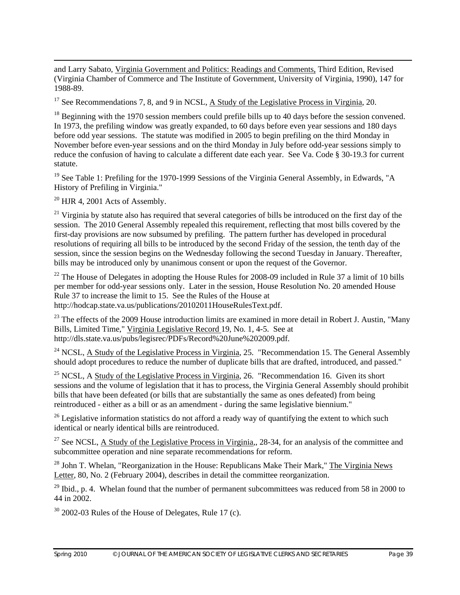and Larry Sabato, Virginia Government and Politics: Readings and Comments, Third Edition, Revised (Virginia Chamber of Commerce and The Institute of Government, University of Virginia, 1990), 147 for 1988-89.

 $17$  See Recommendations 7, 8, and 9 in NCSL, A Study of the Legislative Process in Virginia, 20.

 $^{18}$  Beginning with the 1970 session members could prefile bills up to 40 days before the session convened. In 1973, the prefiling window was greatly expanded, to 60 days before even year sessions and 180 days before odd year sessions. The statute was modified in 2005 to begin prefiling on the third Monday in November before even-year sessions and on the third Monday in July before odd-year sessions simply to reduce the confusion of having to calculate a different date each year. See Va. Code § 30-19.3 for current statute.

<sup>19</sup> See Table 1: Prefiling for the 1970-1999 Sessions of the Virginia General Assembly, in Edwards, "A History of Prefiling in Virginia."

 $20$  HJR 4, 2001 Acts of Assembly.

 $\overline{a}$ 

 $21$  Virginia by statute also has required that several categories of bills be introduced on the first day of the session. The 2010 General Assembly repealed this requirement, reflecting that most bills covered by the first-day provisions are now subsumed by prefiling. The pattern further has developed in procedural resolutions of requiring all bills to be introduced by the second Friday of the session, the tenth day of the session, since the session begins on the Wednesday following the second Tuesday in January. Thereafter, bills may be introduced only by unanimous consent or upon the request of the Governor.

 $^{22}$  The House of Delegates in adopting the House Rules for 2008-09 included in Rule 37 a limit of 10 bills per member for odd-year sessions only. Later in the session, House Resolution No. 20 amended House Rule 37 to increase the limit to 15. See the Rules of the House at http://hodcap.state.va.us/publications/20102011HouseRulesText.pdf.

 $23$  The effects of the 2009 House introduction limits are examined in more detail in Robert J. Austin, "Many Bills, Limited Time," Virginia Legislative Record 19, No. 1, 4-5. See at http://dls.state.va.us/pubs/legisrec/PDFs/Record%20June%202009.pdf.

<sup>24</sup> NCSL, A Study of the Legislative Process in Virginia, 25. "Recommendation 15. The General Assembly should adopt procedures to reduce the number of duplicate bills that are drafted, introduced, and passed."

<sup>25</sup> NCSL, A Study of the Legislative Process in Virginia, 26. "Recommendation 16. Given its short sessions and the volume of legislation that it has to process, the Virginia General Assembly should prohibit bills that have been defeated (or bills that are substantially the same as ones defeated) from being reintroduced - either as a bill or as an amendment - during the same legislative biennium."

 $26$  Legislative information statistics do not afford a ready way of quantifying the extent to which such identical or nearly identical bills are reintroduced.

<sup>27</sup> See NCSL, A Study of the Legislative Process in Virginia,, 28-34, for an analysis of the committee and subcommittee operation and nine separate recommendations for reform.

<sup>28</sup> John T. Whelan, "Reorganization in the House: Republicans Make Their Mark," The Virginia News Letter, 80, No. 2 (February 2004), describes in detail the committee reorganization.

 $^{29}$  Ibid., p. 4. Whelan found that the number of permanent subcommittees was reduced from 58 in 2000 to 44 in 2002.

 $30$  2002-03 Rules of the House of Delegates, Rule 17 (c).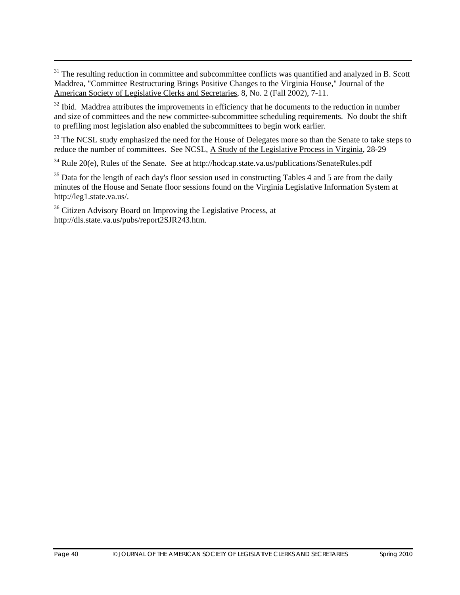$31$  The resulting reduction in committee and subcommittee conflicts was quantified and analyzed in B. Scott Maddrea, "Committee Restructuring Brings Positive Changes to the Virginia House," Journal of the American Society of Legislative Clerks and Secretaries, 8, No. 2 (Fall 2002), 7-11.

 $32$  Ibid. Maddrea attributes the improvements in efficiency that he documents to the reduction in number and size of committees and the new committee-subcommittee scheduling requirements. No doubt the shift to prefiling most legislation also enabled the subcommittees to begin work earlier.

<sup>33</sup> The NCSL study emphasized the need for the House of Delegates more so than the Senate to take steps to reduce the number of committees. See NCSL, A Study of the Legislative Process in Virginia, 28-29

<sup>34</sup> Rule 20(e), Rules of the Senate. See at http://hodcap.state.va.us/publications/SenateRules.pdf

<sup>35</sup> Data for the length of each day's floor session used in constructing Tables 4 and 5 are from the daily minutes of the House and Senate floor sessions found on the Virginia Legislative Information System at http://leg1.state.va.us/.

<sup>36</sup> Citizen Advisory Board on Improving the Legislative Process, at http://dls.state.va.us/pubs/report2SJR243.htm.

 $\overline{a}$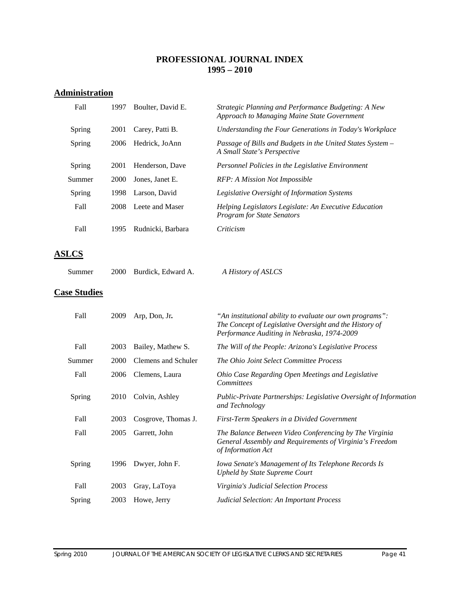#### **PROFESSIONAL JOURNAL INDEX 1995 – 2010**

## **Administration**

| Fall   | 1997 | Boulter, David E. | Strategic Planning and Performance Budgeting: A New<br>Approach to Managing Maine State Government |
|--------|------|-------------------|----------------------------------------------------------------------------------------------------|
| Spring | 2001 | Carey, Patti B.   | Understanding the Four Generations in Today's Workplace                                            |
| Spring | 2006 | Hedrick, JoAnn    | Passage of Bills and Budgets in the United States System –<br>A Small State's Perspective          |
| Spring | 2001 | Henderson, Dave   | Personnel Policies in the Legislative Environment                                                  |
| Summer | 2000 | Jones, Janet E.   | RFP: A Mission Not Impossible                                                                      |
| Spring | 1998 | Larson, David     | Legislative Oversight of Information Systems                                                       |
| Fall   | 2008 | Leete and Maser   | Helping Legislators Legislate: An Executive Education<br><b>Program for State Senators</b>         |
| Fall   | 1995 | Rudnicki, Barbara | Criticism                                                                                          |

## **ASLCS**

| 2000 Burdick, Edward A.<br>A History of ASLCS<br>Summer |  |
|---------------------------------------------------------|--|
|---------------------------------------------------------|--|

## **Case Studies**

| Fall   | 2009 | Arp, Don, Jr.       | "An institutional ability to evaluate our own programs":<br>The Concept of Legislative Oversight and the History of<br>Performance Auditing in Nebraska, 1974-2009 |
|--------|------|---------------------|--------------------------------------------------------------------------------------------------------------------------------------------------------------------|
| Fall   | 2003 | Bailey, Mathew S.   | The Will of the People: Arizona's Legislative Process                                                                                                              |
| Summer | 2000 | Clemens and Schuler | The Ohio Joint Select Committee Process                                                                                                                            |
| Fall   | 2006 | Clemens, Laura      | Ohio Case Regarding Open Meetings and Legislative<br>Committees                                                                                                    |
| Spring | 2010 | Colvin, Ashley      | Public-Private Partnerships: Legislative Oversight of Information<br>and Technology                                                                                |
| Fall   | 2003 | Cosgrove, Thomas J. | First-Term Speakers in a Divided Government                                                                                                                        |
| Fall   | 2005 | Garrett, John       | The Balance Between Video Conferencing by The Virginia<br>General Assembly and Requirements of Virginia's Freedom<br>of Information Act                            |
| Spring | 1996 | Dwyer, John F.      | Iowa Senate's Management of Its Telephone Records Is<br>Upheld by State Supreme Court                                                                              |
| Fall   | 2003 | Gray, LaToya        | Virginia's Judicial Selection Process                                                                                                                              |
| Spring | 2003 | Howe, Jerry         | <b>Judicial Selection: An Important Process</b>                                                                                                                    |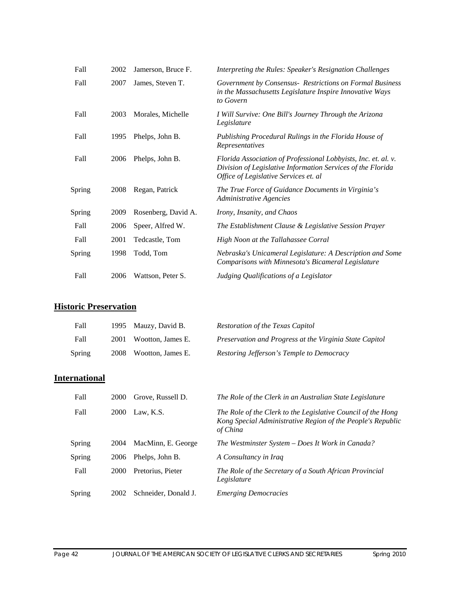| Fall          | 2002 | Jamerson, Bruce F.  | Interpreting the Rules: Speaker's Resignation Challenges                                                                                                               |
|---------------|------|---------------------|------------------------------------------------------------------------------------------------------------------------------------------------------------------------|
| Fall          | 2007 | James, Steven T.    | Government by Consensus- Restrictions on Formal Business<br>in the Massachusetts Legislature Inspire Innovative Ways<br>to Govern                                      |
| Fall          | 2003 | Morales, Michelle   | I Will Survive: One Bill's Journey Through the Arizona<br>Legislature                                                                                                  |
| Fall          | 1995 | Phelps, John B.     | Publishing Procedural Rulings in the Florida House of<br>Representatives                                                                                               |
| Fall          | 2006 | Phelps, John B.     | Florida Association of Professional Lobbyists, Inc. et. al. v.<br>Division of Legislative Information Services of the Florida<br>Office of Legislative Services et. al |
| Spring        | 2008 | Regan, Patrick      | The True Force of Guidance Documents in Virginia's<br><b>Administrative Agencies</b>                                                                                   |
| Spring        | 2009 | Rosenberg, David A. | Irony, Insanity, and Chaos                                                                                                                                             |
| Fall          | 2006 | Speer, Alfred W.    | The Establishment Clause & Legislative Session Prayer                                                                                                                  |
| Fall          | 2001 | Tedcastle, Tom      | High Noon at the Tallahassee Corral                                                                                                                                    |
| <b>Spring</b> | 1998 | Todd, Tom           | Nebraska's Unicameral Legislature: A Description and Some<br>Comparisons with Minnesota's Bicameral Legislature                                                        |
| Fall          | 2006 | Wattson, Peter S.   | Judging Qualifications of a Legislator                                                                                                                                 |

## **Historic Preservation**

| Fall          | 1995 Mauzy, David B.   | Restoration of the Texas Capitol                        |
|---------------|------------------------|---------------------------------------------------------|
| Fall          | 2001 Wootton, James E. | Preservation and Progress at the Virginia State Capitol |
| <b>Spring</b> | 2008 Wootton, James E. | Restoring Jefferson's Temple to Democracy               |

## **International**

| Fall   | 2000        | Grove, Russell D.    | The Role of the Clerk in an Australian State Legislature                                                                                |
|--------|-------------|----------------------|-----------------------------------------------------------------------------------------------------------------------------------------|
| Fall   | <b>2000</b> | Law, K.S.            | The Role of the Clerk to the Legislative Council of the Hong<br>Kong Special Administrative Region of the People's Republic<br>of China |
| Spring | 2004        | MacMinn, E. George   | The Westminster System – Does It Work in Canada?                                                                                        |
| Spring | 2006        | Phelps, John B.      | A Consultancy in Iraq                                                                                                                   |
| Fall   | 2000        | Pretorius, Pieter    | The Role of the Secretary of a South African Provincial<br>Legislature                                                                  |
| Spring | 2002        | Schneider, Donald J. | <b>Emerging Democracies</b>                                                                                                             |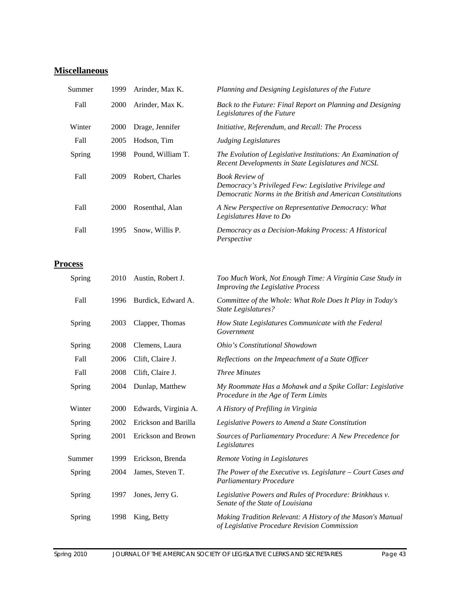## **Miscellaneous**

| Summer | 1999        | Arinder, Max K.   | Planning and Designing Legislatures of the Future                                                                                            |
|--------|-------------|-------------------|----------------------------------------------------------------------------------------------------------------------------------------------|
| Fall   | <b>2000</b> | Arinder, Max K.   | Back to the Future: Final Report on Planning and Designing<br>Legislatures of the Future                                                     |
| Winter | 2000        | Drage, Jennifer   | Initiative, Referendum, and Recall: The Process                                                                                              |
| Fall   | 2005        | Hodson, Tim       | <b>Judging Legislatures</b>                                                                                                                  |
| Spring | 1998        | Pound, William T. | The Evolution of Legislative Institutions: An Examination of<br>Recent Developments in State Legislatures and NCSL                           |
| Fall   | 2009        | Robert, Charles   | <b>Book Review of</b><br>Democracy's Privileged Few: Legislative Privilege and<br>Democratic Norms in the British and American Constitutions |
| Fall   | <b>2000</b> | Rosenthal, Alan   | A New Perspective on Representative Democracy: What<br>Legislatures Have to Do                                                               |
| Fall   | 1995        | Snow, Willis P.   | Democracy as a Decision-Making Process: A Historical<br>Perspective                                                                          |

#### **Process**

| Spring | 2010 | Austin, Robert J.    | Too Much Work, Not Enough Time: A Virginia Case Study in<br><b>Improving the Legislative Process</b>       |
|--------|------|----------------------|------------------------------------------------------------------------------------------------------------|
| Fall   | 1996 | Burdick, Edward A.   | Committee of the Whole: What Role Does It Play in Today's<br>State Legislatures?                           |
| Spring | 2003 | Clapper, Thomas      | How State Legislatures Communicate with the Federal<br>Government                                          |
| Spring | 2008 | Clemens, Laura       | Ohio's Constitutional Showdown                                                                             |
| Fall   | 2006 | Clift, Claire J.     | Reflections on the Impeachment of a State Officer                                                          |
| Fall   | 2008 | Clift, Claire J.     | <b>Three Minutes</b>                                                                                       |
| Spring | 2004 | Dunlap, Matthew      | My Roommate Has a Mohawk and a Spike Collar: Legislative<br>Procedure in the Age of Term Limits            |
| Winter | 2000 | Edwards, Virginia A. | A History of Prefiling in Virginia                                                                         |
| Spring | 2002 | Erickson and Barilla | Legislative Powers to Amend a State Constitution                                                           |
| Spring | 2001 | Erickson and Brown   | Sources of Parliamentary Procedure: A New Precedence for<br>Legislatures                                   |
| Summer | 1999 | Erickson, Brenda     | Remote Voting in Legislatures                                                                              |
| Spring | 2004 | James, Steven T.     | The Power of the Executive vs. Legislature $-$ Court Cases and<br><b>Parliamentary Procedure</b>           |
| Spring | 1997 | Jones, Jerry G.      | Legislative Powers and Rules of Procedure: Brinkhaus v.<br>Senate of the State of Louisiana                |
| Spring | 1998 | King, Betty          | Making Tradition Relevant: A History of the Mason's Manual<br>of Legislative Procedure Revision Commission |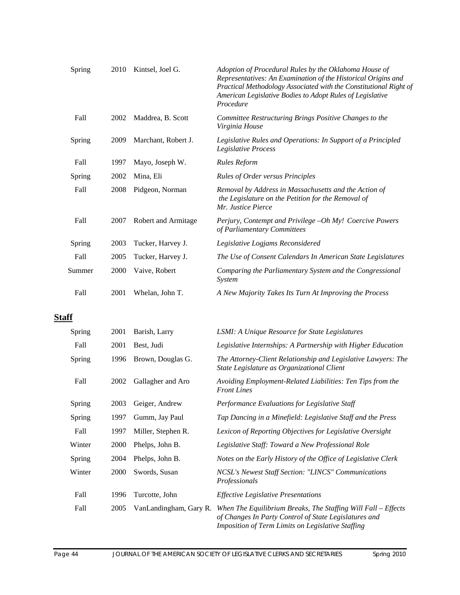| Spring | 2010 | Kintsel, Joel G.    | Adoption of Procedural Rules by the Oklahoma House of<br>Representatives: An Examination of the Historical Origins and<br>Practical Methodology Associated with the Constitutional Right of<br>American Legislative Bodies to Adopt Rules of Legislative<br>Procedure |
|--------|------|---------------------|-----------------------------------------------------------------------------------------------------------------------------------------------------------------------------------------------------------------------------------------------------------------------|
| Fall   | 2002 | Maddrea, B. Scott   | Committee Restructuring Brings Positive Changes to the<br>Virginia House                                                                                                                                                                                              |
| Spring | 2009 | Marchant, Robert J. | Legislative Rules and Operations: In Support of a Principled<br>Legislative Process                                                                                                                                                                                   |
| Fall   | 1997 | Mayo, Joseph W.     | <b>Rules Reform</b>                                                                                                                                                                                                                                                   |
| Spring | 2002 | Mina, Eli           | <b>Rules of Order versus Principles</b>                                                                                                                                                                                                                               |
| Fall   | 2008 | Pidgeon, Norman     | Removal by Address in Massachusetts and the Action of<br>the Legislature on the Petition for the Removal of<br>Mr. Justice Pierce                                                                                                                                     |
| Fall   | 2007 | Robert and Armitage | Perjury, Contempt and Privilege -Oh My! Coercive Powers<br>of Parliamentary Committees                                                                                                                                                                                |
| Spring | 2003 | Tucker, Harvey J.   | Legislative Logjams Reconsidered                                                                                                                                                                                                                                      |
| Fall   | 2005 | Tucker, Harvey J.   | The Use of Consent Calendars In American State Legislatures                                                                                                                                                                                                           |
| Summer | 2000 | Vaive, Robert       | Comparing the Parliamentary System and the Congressional<br>System                                                                                                                                                                                                    |
| Fall   | 2001 | Whelan, John T.     | A New Majority Takes Its Turn At Improving the Process                                                                                                                                                                                                                |

## **Staff**

| Spring | 2001 | Barish, Larry          | <b>LSMI: A Unique Resource for State Legislatures</b>                                                                                                                              |
|--------|------|------------------------|------------------------------------------------------------------------------------------------------------------------------------------------------------------------------------|
| Fall   | 2001 | Best, Judi             | Legislative Internships: A Partnership with Higher Education                                                                                                                       |
| Spring | 1996 | Brown, Douglas G.      | The Attorney-Client Relationship and Legislative Lawyers: The<br>State Legislature as Organizational Client                                                                        |
| Fall   | 2002 | Gallagher and Aro      | Avoiding Employment-Related Liabilities: Ten Tips from the<br><b>Front Lines</b>                                                                                                   |
| Spring | 2003 | Geiger, Andrew         | Performance Evaluations for Legislative Staff                                                                                                                                      |
| Spring | 1997 | Gumm, Jay Paul         | Tap Dancing in a Minefield: Legislative Staff and the Press                                                                                                                        |
| Fall   | 1997 | Miller, Stephen R.     | Lexicon of Reporting Objectives for Legislative Oversight                                                                                                                          |
| Winter | 2000 | Phelps, John B.        | Legislative Staff: Toward a New Professional Role                                                                                                                                  |
| Spring | 2004 | Phelps, John B.        | Notes on the Early History of the Office of Legislative Clerk                                                                                                                      |
| Winter | 2000 | Swords, Susan          | NCSL's Newest Staff Section: "LINCS" Communications<br>Professionals                                                                                                               |
| Fall   | 1996 | Turcotte, John         | <b>Effective Legislative Presentations</b>                                                                                                                                         |
| Fall   | 2005 | VanLandingham, Gary R. | When The Equilibrium Breaks, The Staffing Will Fall – Effects<br>of Changes In Party Control of State Legislatures and<br><b>Imposition of Term Limits on Legislative Staffing</b> |